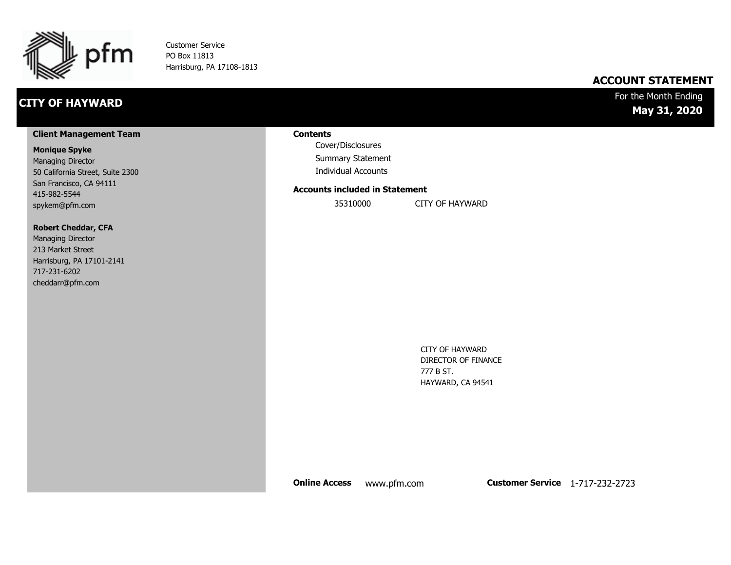

Customer Service PO Box 11813 Harrisburg, PA 17108-1813

# **CITY OF HAYWARD**

### **ACCOUNT STATEMENT**

### For the Month Ending **May 31, 2020**

#### **Client Management Team**

#### **Monique Spyke**

Managing Director 50 California Street, Suite 2300 San Francisco, CA 94111 415-982-5544 spykem@pfm.com

#### **Robert Cheddar, CFA**

| <b>Managing Director</b>  |
|---------------------------|
| 213 Market Street         |
| Harrisburg, PA 17101-2141 |
| 717-231-6202              |
| cheddarr@pfm.com          |

#### **Contents**

Cover/Disclosures Summary Statement Individual Accounts

#### **Accounts included in Statement**

35310000 CITY OF HAYWARD

CITY OF HAYWARD DIRECTOR OF FINANCE 777 B ST. HAYWARD, CA 94541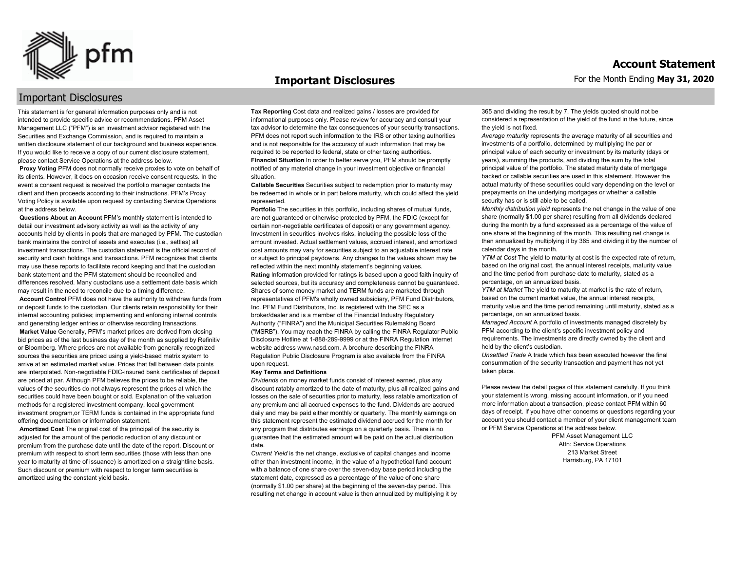

#### **Important Disclosures**

For the Month Ending **May 31, 2020**

### Important Disclosures

This statement is for general information purposes only and is not intended to provide specific advice or recommendations. PFM Asset Management LLC ("PFM") is an investment advisor registered with the Securities and Exchange Commission, and is required to maintain a written disclosure statement of our background and business experience. If you would like to receive a copy of our current disclosure statement, please contact Service Operations at the address below.

**Proxy Voting** PFM does not normally receive proxies to vote on behalf of its clients. However, it does on occasion receive consent requests. In the event a consent request is received the portfolio manager contacts the client and then proceeds according to their instructions. PFM's Proxy Voting Policy is available upon request by contacting Service Operations at the address below.

**Questions About an Account** PFM's monthly statement is intended to detail our investment advisory activity as well as the activity of any accounts held by clients in pools that are managed by PFM. The custodian bank maintains the control of assets and executes (i.e., settles) all investment transactions. The custodian statement is the official record of security and cash holdings and transactions. PFM recognizes that clients may use these reports to facilitate record keeping and that the custodian bank statement and the PFM statement should be reconciled and differences resolved. Many custodians use a settlement date basis which may result in the need to reconcile due to a timing difference.

**Account Control** PFM does not have the authority to withdraw funds from or deposit funds to the custodian. Our clients retain responsibility for their internal accounting policies; implementing and enforcing internal controls and generating ledger entries or otherwise recording transactions.

**Market Value** Generally, PFM's market prices are derived from closing bid prices as of the last business day of the month as supplied by Refinitiv or Bloomberg. Where prices are not available from generally recognized sources the securities are priced using a yield-based matrix system to arrive at an estimated market value. Prices that fall between data points are interpolated. Non-negotiable FDIC-insured bank certificates of deposit are priced at par. Although PFM believes the prices to be reliable, the values of the securities do not always represent the prices at which the securities could have been bought or sold. Explanation of the valuation methods for a registered investment company, local government investment program,or TERM funds is contained in the appropriate fund offering documentation or information statement.

**Amortized Cost** The original cost of the principal of the security is adjusted for the amount of the periodic reduction of any discount or premium from the purchase date until the date of the report. Discount or premium with respect to short term securities (those with less than one year to maturity at time of issuance) is amortized on a straightline basis. Such discount or premium with respect to longer term securities is amortized using the constant yield basis.

**Tax Reporting** Cost data and realized gains / losses are provided for informational purposes only. Please review for accuracy and consult your tax advisor to determine the tax consequences of your security transactions. PFM does not report such information to the IRS or other taxing authorities and is not responsible for the accuracy of such information that may be required to be reported to federal, state or other taxing authorities. **Financial Situation** In order to better serve you, PFM should be promptly notified of any material change in your investment objective or financial situation.

**Callable Securities** Securities subject to redemption prior to maturity may be redeemed in whole or in part before maturity, which could affect the yield represented.

Portfolio The securities in this portfolio, including shares of mutual funds, are not guaranteed or otherwise protected by PFM, the FDIC (except for certain non-negotiable certificates of deposit) or any government agency. Investment in securities involves risks, including the possible loss of the amount invested. Actual settlement values, accrued interest, and amortized cost amounts may vary for securities subject to an adjustable interest rate or subject to principal paydowns. Any changes to the values shown may be reflected within the next monthly statement's beginning values. **Rating** Information provided for ratings is based upon a good faith inquiry of selected sources, but its accuracy and completeness cannot be guaranteed. Shares of some money market and TERM funds are marketed through representatives of PFM's wholly owned subsidiary, PFM Fund Distributors, Inc. PFM Fund Distributors, Inc. is registered with the SEC as a broker/dealer and is a member of the Financial Industry Regulatory Authority ("FINRA") and the Municipal Securities Rulemaking Board ("MSRB"). You may reach the FINRA by calling the FINRA Regulator Public Disclosure Hotline at 1-888-289-9999 or at the FINRA Regulation Internet website address www.nasd.com. A brochure describing the FINRA Regulation Public Disclosure Program is also available from the FINRA upon request.

#### **Key Terms and Definitions**

*Dividends* on money market funds consist of interest earned, plus any discount ratably amortized to the date of maturity, plus all realized gains and losses on the sale of securities prior to maturity, less ratable amortization of any premium and all accrued expenses to the fund. Dividends are accrued daily and may be paid either monthly or quarterly. The monthly earnings on this statement represent the estimated dividend accrued for the month for any program that distributes earnings on a quarterly basis. There is no guarantee that the estimated amount will be paid on the actual distribution date.

*Current Yield* is the net change, exclusive of capital changes and income other than investment income, in the value of a hypothetical fund account with a balance of one share over the seven-day base period including the statement date, expressed as a percentage of the value of one share (normally \$1.00 per share) at the beginning of the seven-day period. This resulting net change in account value is then annualized by multiplying it by 365 and dividing the result by 7. The yields quoted should not be considered a representation of the yield of the fund in the future, since the yield is not fixed.

*Average maturity* represents the average maturity of all securities and investments of a portfolio, determined by multiplying the par or principal value of each security or investment by its maturity (days or years), summing the products, and dividing the sum by the total principal value of the portfolio. The stated maturity date of mortgage backed or callable securities are used in this statement. However the actual maturity of these securities could vary depending on the level or prepayments on the underlying mortgages or whether a callable security has or is still able to be called.

*Monthly distribution yield* represents the net change in the value of one share (normally \$1.00 per share) resulting from all dividends declared during the month by a fund expressed as a percentage of the value of one share at the beginning of the month. This resulting net change is then annualized by multiplying it by 365 and dividing it by the number of calendar days in the month.

*YTM at Cost* The yield to maturity at cost is the expected rate of return, based on the original cost, the annual interest receipts, maturity value and the time period from purchase date to maturity, stated as a percentage, on an annualized basis.

*YTM at Market* The yield to maturity at market is the rate of return, based on the current market value, the annual interest receipts, maturity value and the time period remaining until maturity, stated as a percentage, on an annualized basis.

*Managed Account* A portfolio of investments managed discretely by PFM according to the client's specific investment policy and requirements. The investments are directly owned by the client and held by the client's custodian.

*Unsettled Trade* A trade which has been executed however the final consummation of the security transaction and payment has not yet taken place.

Please review the detail pages of this statement carefully. If you think your statement is wrong, missing account information, or if you need more information about a transaction, please contact PFM within 60 days of receipt. If you have other concerns or questions regarding your account you should contact a member of your client management team or PFM Service Operations at the address below.

> PFM Asset Management LLC Attn: Service Operations 213 Market Street Harrisburg, PA 17101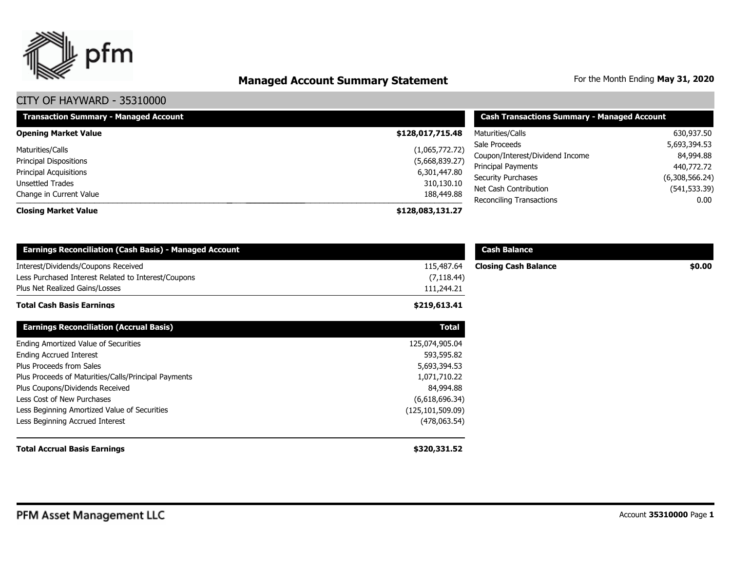

# **Managed Account Summary Statement** For the Month Ending May 31, 2020

| <b>Transaction Summary - Managed Account</b>                                 | <b>Cash Transactions Summary - Managed Account</b> |                                                                               |                                         |
|------------------------------------------------------------------------------|----------------------------------------------------|-------------------------------------------------------------------------------|-----------------------------------------|
| <b>Opening Market Value</b>                                                  | \$128,017,715.48                                   | Maturities/Calls                                                              | 630,937.50                              |
| Maturities/Calls<br><b>Principal Dispositions</b>                            | (1,065,772.72)<br>(5,668,839.27)                   | Sale Proceeds<br>Coupon/Interest/Dividend Income<br><b>Principal Payments</b> | 5,693,394.53<br>84,994.88<br>440,772.72 |
| <b>Principal Acquisitions</b><br>Unsettled Trades<br>Change in Current Value | 6,301,447.80<br>310,130.10<br>188,449.88           | <b>Security Purchases</b><br>Net Cash Contribution                            | (6,308,566.24)<br>(541, 533.39)         |
| <b>Closing Market Value</b>                                                  | \$128,083,131.27                                   | Reconciling Transactions                                                      | 0.00                                    |

| <b>Earnings Reconciliation (Cash Basis) - Managed Account</b> |                    | <b>Cash Balance</b>         |        |
|---------------------------------------------------------------|--------------------|-----------------------------|--------|
| Interest/Dividends/Coupons Received                           | 115,487.64         | <b>Closing Cash Balance</b> | \$0.00 |
| Less Purchased Interest Related to Interest/Coupons           | (7, 118.44)        |                             |        |
| Plus Net Realized Gains/Losses                                | 111,244.21         |                             |        |
| <b>Total Cash Basis Earnings</b>                              | \$219,613.41       |                             |        |
| <b>Earnings Reconciliation (Accrual Basis)</b>                | <b>Total</b>       |                             |        |
| Ending Amortized Value of Securities                          | 125,074,905.04     |                             |        |
| <b>Ending Accrued Interest</b>                                | 593,595.82         |                             |        |
| Plus Proceeds from Sales                                      | 5,693,394.53       |                             |        |
| Plus Proceeds of Maturities/Calls/Principal Payments          | 1,071,710.22       |                             |        |
| Plus Coupons/Dividends Received                               | 84,994.88          |                             |        |
| Less Cost of New Purchases                                    | (6,618,696.34)     |                             |        |
| Less Beginning Amortized Value of Securities                  | (125, 101, 509.09) |                             |        |
| Less Beginning Accrued Interest                               | (478,063.54)       |                             |        |
| <b>Total Accrual Basis Earnings</b>                           | \$320,331.52       |                             |        |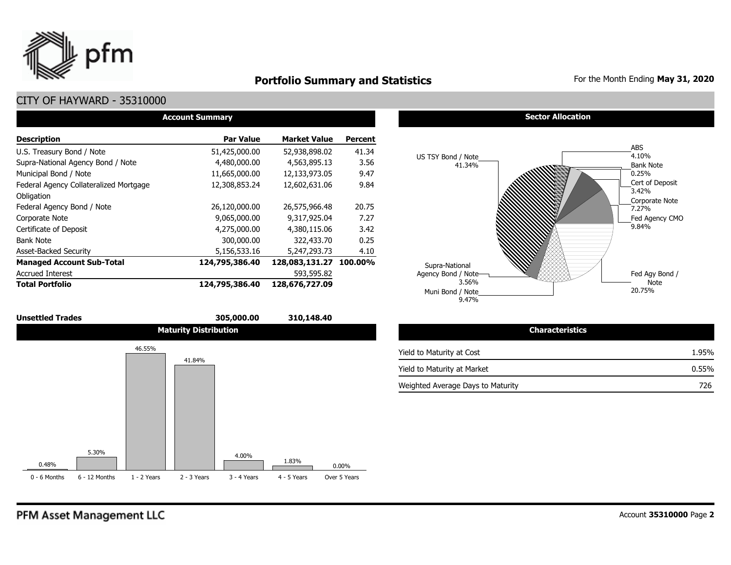

# **Portfolio Summary and Statistics** For the Month Ending May 31, 2020

## CITY OF HAYWARD - 35310000

| <b>Account Summary</b>                 |                  |                     |                |  |  |  |  |  |  |
|----------------------------------------|------------------|---------------------|----------------|--|--|--|--|--|--|
| <b>Description</b>                     | <b>Par Value</b> | <b>Market Value</b> | <b>Percent</b> |  |  |  |  |  |  |
| U.S. Treasury Bond / Note              | 51,425,000.00    | 52,938,898.02       | 41.34          |  |  |  |  |  |  |
| Supra-National Agency Bond / Note      | 4,480,000.00     | 4,563,895.13        | 3.56           |  |  |  |  |  |  |
| Municipal Bond / Note                  | 11,665,000.00    | 12,133,973.05       | 9.47           |  |  |  |  |  |  |
| Federal Agency Collateralized Mortgage | 12,308,853.24    | 12,602,631.06       | 9.84           |  |  |  |  |  |  |
| Obligation                             |                  |                     |                |  |  |  |  |  |  |
| Federal Agency Bond / Note             | 26,120,000.00    | 26,575,966,48       | 20.75          |  |  |  |  |  |  |
| Corporate Note                         | 9,065,000.00     | 9,317,925.04        | 7.27           |  |  |  |  |  |  |
| Certificate of Deposit                 | 4,275,000.00     | 4,380,115.06        | 3.42           |  |  |  |  |  |  |
| <b>Bank Note</b>                       | 300,000.00       | 322,433.70          | 0.25           |  |  |  |  |  |  |
| <b>Asset-Backed Security</b>           | 5,156,533.16     | 5,247,293.73        | 4.10           |  |  |  |  |  |  |
| <b>Managed Account Sub-Total</b>       | 124,795,386.40   | 128,083,131.27      | 100.00%        |  |  |  |  |  |  |
| <b>Accrued Interest</b>                |                  | 593,595.82          |                |  |  |  |  |  |  |
| <b>Total Portfolio</b>                 | 124,795,386.40   | 128,676,727.09      |                |  |  |  |  |  |  |

# **Sector Allocation**



| <b>Characteristics</b>            |          |
|-----------------------------------|----------|
| Yield to Maturity at Cost         | 1.95%    |
| Yield to Maturity at Market       | $0.55\%$ |
| Weighted Average Days to Maturity | 726      |

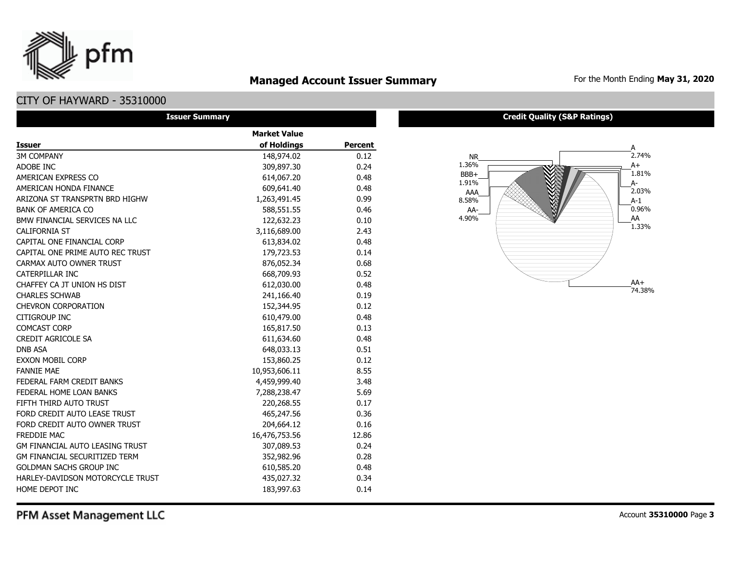## **Managed Account Issuer Summary** For the Month Ending May 31, 2020

# CITY OF HAYWARD - 35310000

pfm

| <b>Issuer Summary</b>                  |                     |                |
|----------------------------------------|---------------------|----------------|
|                                        | <b>Market Value</b> |                |
| <b>Issuer</b>                          | of Holdings         | <b>Percent</b> |
| <b>3M COMPANY</b>                      | 148,974.02          | 0.12           |
| ADOBE INC                              | 309,897.30          | 0.24           |
| AMERICAN EXPRESS CO                    | 614,067.20          | 0.48           |
| AMERICAN HONDA FINANCE                 | 609,641.40          | 0.48           |
| ARIZONA ST TRANSPRTN BRD HIGHW         | 1,263,491.45        | 0.99           |
| <b>BANK OF AMERICA CO</b>              | 588,551.55          | 0.46           |
| BMW FINANCIAL SERVICES NA LLC          | 122,632.23          | 0.10           |
| <b>CALIFORNIA ST</b>                   | 3,116,689.00        | 2.43           |
| CAPITAL ONE FINANCIAL CORP             | 613,834.02          | 0.48           |
| CAPITAL ONE PRIME AUTO REC TRUST       | 179,723.53          | 0.14           |
| CARMAX AUTO OWNER TRUST                | 876,052.34          | 0.68           |
| CATERPILLAR INC                        | 668,709.93          | 0.52           |
| CHAFFEY CA JT UNION HS DIST            | 612,030.00          | 0.48           |
| <b>CHARLES SCHWAB</b>                  | 241,166.40          | 0.19           |
| <b>CHEVRON CORPORATION</b>             | 152,344.95          | 0.12           |
| CITIGROUP INC                          | 610,479.00          | 0.48           |
| <b>COMCAST CORP</b>                    | 165,817.50          | 0.13           |
| <b>CREDIT AGRICOLE SA</b>              | 611,634.60          | 0.48           |
| <b>DNB ASA</b>                         | 648,033.13          | 0.51           |
| <b>EXXON MOBIL CORP</b>                | 153,860.25          | 0.12           |
| <b>FANNIE MAE</b>                      | 10,953,606.11       | 8.55           |
| FEDERAL FARM CREDIT BANKS              | 4,459,999.40        | 3.48           |
| FEDERAL HOME LOAN BANKS                | 7,288,238.47        | 5.69           |
| FIFTH THIRD AUTO TRUST                 | 220,268.55          | 0.17           |
| FORD CREDIT AUTO LEASE TRUST           | 465,247.56          | 0.36           |
| FORD CREDIT AUTO OWNER TRUST           | 204,664.12          | 0.16           |
| FREDDIE MAC                            | 16,476,753.56       | 12.86          |
| <b>GM FINANCIAL AUTO LEASING TRUST</b> | 307,089.53          | 0.24           |
| GM FINANCIAL SECURITIZED TERM          | 352,982.96          | 0.28           |
| <b>GOLDMAN SACHS GROUP INC</b>         | 610,585.20          | 0.48           |
| HARLEY-DAVIDSON MOTORCYCLE TRUST       | 435,027.32          | 0.34           |
| HOME DEPOT INC                         | 183,997.63          | 0.14           |

#### **Credit Quality (S&P Ratings)**



PFM Asset Management LLC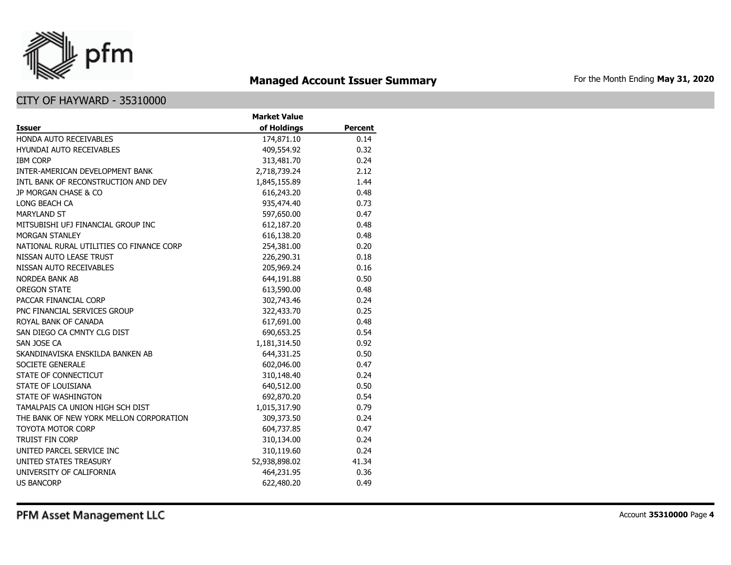

# **Managed Account Issuer Summary** For the Month Ending May 31, 2020

|                                          | <b>Market Value</b> |                |
|------------------------------------------|---------------------|----------------|
| Issuer                                   | of Holdings         | <b>Percent</b> |
| HONDA AUTO RECEIVABLES                   | 174,871.10          | 0.14           |
| <b>HYUNDAI AUTO RECEIVABLES</b>          | 409,554.92          | 0.32           |
| <b>IBM CORP</b>                          | 313,481.70          | 0.24           |
| INTER-AMERICAN DEVELOPMENT BANK          | 2,718,739.24        | 2.12           |
| INTL BANK OF RECONSTRUCTION AND DEV      | 1,845,155.89        | 1.44           |
| JP MORGAN CHASE & CO                     | 616,243.20          | 0.48           |
| LONG BEACH CA                            | 935,474.40          | 0.73           |
| <b>MARYLAND ST</b>                       | 597,650.00          | 0.47           |
| MITSUBISHI UFJ FINANCIAL GROUP INC       | 612,187.20          | 0.48           |
| <b>MORGAN STANLEY</b>                    | 616,138.20          | 0.48           |
| NATIONAL RURAL UTILITIES CO FINANCE CORP | 254,381.00          | 0.20           |
| NISSAN AUTO LEASE TRUST                  | 226,290.31          | 0.18           |
| NISSAN AUTO RECEIVABLES                  | 205,969.24          | 0.16           |
| <b>NORDEA BANK AB</b>                    | 644,191.88          | 0.50           |
| <b>OREGON STATE</b>                      | 613,590.00          | 0.48           |
| PACCAR FINANCIAL CORP                    | 302,743.46          | 0.24           |
| PNC FINANCIAL SERVICES GROUP             | 322,433.70          | 0.25           |
| ROYAL BANK OF CANADA                     | 617,691.00          | 0.48           |
| SAN DIEGO CA CMNTY CLG DIST              | 690,653.25          | 0.54           |
| SAN JOSE CA                              | 1,181,314.50        | 0.92           |
| SKANDINAVISKA ENSKILDA BANKEN AB         | 644,331.25          | 0.50           |
| SOCIETE GENERALE                         | 602,046.00          | 0.47           |
| STATE OF CONNECTICUT                     | 310,148.40          | 0.24           |
| STATE OF LOUISIANA                       | 640,512.00          | 0.50           |
| STATE OF WASHINGTON                      | 692,870.20          | 0.54           |
| TAMALPAIS CA UNION HIGH SCH DIST         | 1,015,317.90        | 0.79           |
| THE BANK OF NEW YORK MELLON CORPORATION  | 309,373.50          | 0.24           |
| <b>TOYOTA MOTOR CORP</b>                 | 604,737.85          | 0.47           |
| <b>TRUIST FIN CORP</b>                   | 310,134.00          | 0.24           |
| UNITED PARCEL SERVICE INC                | 310,119.60          | 0.24           |
| UNITED STATES TREASURY                   | 52,938,898.02       | 41.34          |
| UNIVERSITY OF CALIFORNIA                 | 464,231.95          | 0.36           |
| <b>US BANCORP</b>                        | 622,480.20          | 0.49           |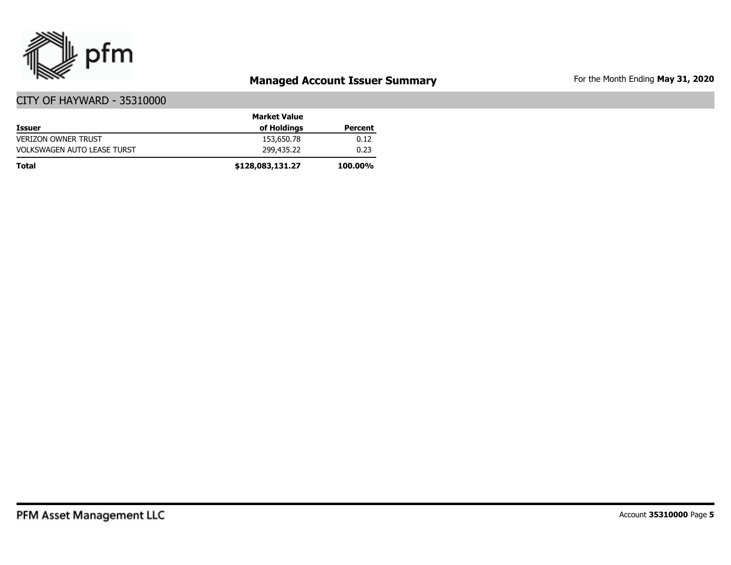

# **Managed Account Issuer Summary** For the Month Ending May 31, 2020

|                                    | <b>Market Value</b> |                |
|------------------------------------|---------------------|----------------|
| <b>Issuer</b>                      | of Holdings         | Percent        |
| <b>VERIZON OWNER TRUST</b>         | 153,650.78          | 0.12           |
| <b>VOLKSWAGEN AUTO LEASE TURST</b> | 299,435.22          | 0.23           |
| <b>Total</b>                       | \$128,083,131.27    | <b>100.00%</b> |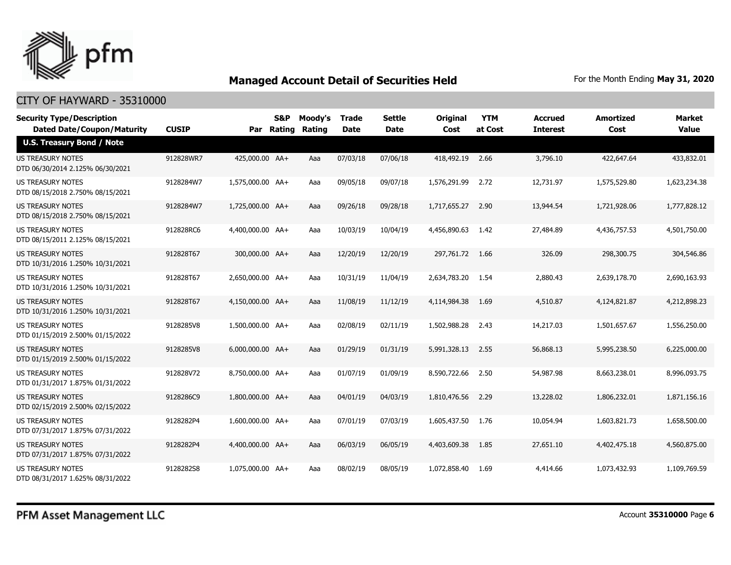

| <b>Security Type/Description</b><br><b>Dated Date/Coupon/Maturity</b> | <b>CUSIP</b> |                  | S&P<br>Par Rating | Moody's<br><b>Rating</b> | <b>Trade</b><br><b>Date</b> | <b>Settle</b><br><b>Date</b> | <b>Original</b><br>Cost | <b>YTM</b><br>at Cost | <b>Accrued</b><br><b>Interest</b> | Amortized<br>Cost | <b>Market</b><br><b>Value</b> |
|-----------------------------------------------------------------------|--------------|------------------|-------------------|--------------------------|-----------------------------|------------------------------|-------------------------|-----------------------|-----------------------------------|-------------------|-------------------------------|
| <b>U.S. Treasury Bond / Note</b>                                      |              |                  |                   |                          |                             |                              |                         |                       |                                   |                   |                               |
| <b>US TREASURY NOTES</b><br>DTD 06/30/2014 2.125% 06/30/2021          | 912828WR7    | 425,000.00 AA+   |                   | Aaa                      | 07/03/18                    | 07/06/18                     | 418,492.19              | 2.66                  | 3,796.10                          | 422,647.64        | 433,832.01                    |
| US TREASURY NOTES<br>DTD 08/15/2018 2.750% 08/15/2021                 | 9128284W7    | 1,575,000.00 AA+ |                   | Aaa                      | 09/05/18                    | 09/07/18                     | 1,576,291.99            | 2.72                  | 12,731.97                         | 1,575,529.80      | 1,623,234.38                  |
| <b>US TREASURY NOTES</b><br>DTD 08/15/2018 2.750% 08/15/2021          | 9128284W7    | 1,725,000.00 AA+ |                   | Aaa                      | 09/26/18                    | 09/28/18                     | 1,717,655.27            | 2.90                  | 13,944.54                         | 1,721,928.06      | 1,777,828.12                  |
| US TREASURY NOTES<br>DTD 08/15/2011 2.125% 08/15/2021                 | 912828RC6    | 4,400,000.00 AA+ |                   | Aaa                      | 10/03/19                    | 10/04/19                     | 4,456,890.63            | 1.42                  | 27,484.89                         | 4,436,757.53      | 4,501,750.00                  |
| <b>US TREASURY NOTES</b><br>DTD 10/31/2016 1.250% 10/31/2021          | 912828T67    | 300,000.00 AA+   |                   | Aaa                      | 12/20/19                    | 12/20/19                     | 297,761.72              | 1.66                  | 326.09                            | 298,300.75        | 304,546.86                    |
| <b>US TREASURY NOTES</b><br>DTD 10/31/2016 1.250% 10/31/2021          | 912828T67    | 2,650,000.00 AA+ |                   | Aaa                      | 10/31/19                    | 11/04/19                     | 2,634,783.20            | 1.54                  | 2,880.43                          | 2,639,178.70      | 2,690,163.93                  |
| US TREASURY NOTES<br>DTD 10/31/2016 1.250% 10/31/2021                 | 912828T67    | 4,150,000.00 AA+ |                   | Aaa                      | 11/08/19                    | 11/12/19                     | 4,114,984.38            | 1.69                  | 4,510.87                          | 4,124,821.87      | 4,212,898.23                  |
| US TREASURY NOTES<br>DTD 01/15/2019 2.500% 01/15/2022                 | 9128285V8    | 1,500,000.00 AA+ |                   | Aaa                      | 02/08/19                    | 02/11/19                     | 1,502,988.28            | 2.43                  | 14,217.03                         | 1,501,657.67      | 1,556,250.00                  |
| US TREASURY NOTES<br>DTD 01/15/2019 2.500% 01/15/2022                 | 9128285V8    | 6,000,000.00 AA+ |                   | Aaa                      | 01/29/19                    | 01/31/19                     | 5,991,328.13            | 2.55                  | 56,868.13                         | 5,995,238.50      | 6,225,000.00                  |
| <b>US TREASURY NOTES</b><br>DTD 01/31/2017 1.875% 01/31/2022          | 912828V72    | 8.750.000.00 AA+ |                   | Aaa                      | 01/07/19                    | 01/09/19                     | 8,590,722.66            | 2.50                  | 54,987.98                         | 8,663,238.01      | 8,996,093.75                  |
| <b>US TREASURY NOTES</b><br>DTD 02/15/2019 2.500% 02/15/2022          | 9128286C9    | 1,800,000.00 AA+ |                   | Aaa                      | 04/01/19                    | 04/03/19                     | 1,810,476.56            | 2.29                  | 13,228.02                         | 1,806,232.01      | 1,871,156.16                  |
| <b>US TREASURY NOTES</b><br>DTD 07/31/2017 1.875% 07/31/2022          | 9128282P4    | 1,600,000.00 AA+ |                   | Aaa                      | 07/01/19                    | 07/03/19                     | 1,605,437.50            | 1.76                  | 10,054.94                         | 1,603,821.73      | 1,658,500.00                  |
| <b>US TREASURY NOTES</b><br>DTD 07/31/2017 1.875% 07/31/2022          | 9128282P4    | 4,400,000.00 AA+ |                   | Aaa                      | 06/03/19                    | 06/05/19                     | 4,403,609.38            | 1.85                  | 27,651.10                         | 4,402,475.18      | 4,560,875,00                  |
| <b>US TREASURY NOTES</b><br>DTD 08/31/2017 1.625% 08/31/2022          | 9128282S8    | 1,075,000.00 AA+ |                   | Aaa                      | 08/02/19                    | 08/05/19                     | 1,072,858,40            | 1.69                  | 4,414.66                          | 1,073,432,93      | 1,109,769.59                  |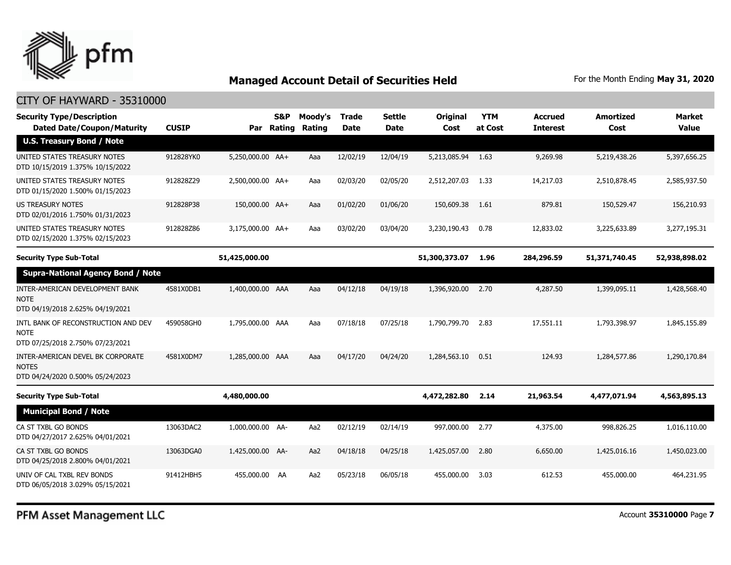

#### CITY OF HAYWARD - 35310000

| <b>Security Type/Description</b><br><b>Dated Date/Coupon/Maturity</b>                  | <b>CUSIP</b> | Par              | <b>S&amp;P</b><br>Rating | Moody's<br>Rating | <b>Trade</b><br><b>Date</b> | <b>Settle</b><br><b>Date</b> | Original<br>Cost | <b>YTM</b><br>at Cost | <b>Accrued</b><br><b>Interest</b> | <b>Amortized</b><br>Cost | <b>Market</b><br>Value |
|----------------------------------------------------------------------------------------|--------------|------------------|--------------------------|-------------------|-----------------------------|------------------------------|------------------|-----------------------|-----------------------------------|--------------------------|------------------------|
| <b>U.S. Treasury Bond / Note</b>                                                       |              |                  |                          |                   |                             |                              |                  |                       |                                   |                          |                        |
| UNITED STATES TREASURY NOTES<br>DTD 10/15/2019 1.375% 10/15/2022                       | 912828YK0    | 5,250,000.00 AA+ |                          | Aaa               | 12/02/19                    | 12/04/19                     | 5,213,085.94     | 1.63                  | 9,269.98                          | 5,219,438.26             | 5,397,656.25           |
| UNITED STATES TREASURY NOTES<br>DTD 01/15/2020 1.500% 01/15/2023                       | 912828Z29    | 2,500,000.00 AA+ |                          | Aaa               | 02/03/20                    | 02/05/20                     | 2,512,207.03     | 1.33                  | 14,217.03                         | 2,510,878.45             | 2,585,937.50           |
| <b>US TREASURY NOTES</b><br>DTD 02/01/2016 1.750% 01/31/2023                           | 912828P38    | 150,000.00 AA+   |                          | Aaa               | 01/02/20                    | 01/06/20                     | 150,609.38       | 1.61                  | 879.81                            | 150,529.47               | 156,210.93             |
| UNITED STATES TREASURY NOTES<br>DTD 02/15/2020 1.375% 02/15/2023                       | 912828Z86    | 3,175,000.00 AA+ |                          | Aaa               | 03/02/20                    | 03/04/20                     | 3,230,190.43     | 0.78                  | 12,833.02                         | 3,225,633.89             | 3,277,195.31           |
| <b>Security Type Sub-Total</b>                                                         |              | 51,425,000.00    |                          |                   |                             |                              | 51,300,373.07    | 1.96                  | 284,296.59                        | 51,371,740.45            | 52,938,898.02          |
| <b>Supra-National Agency Bond / Note</b>                                               |              |                  |                          |                   |                             |                              |                  |                       |                                   |                          |                        |
| INTER-AMERICAN DEVELOPMENT BANK<br><b>NOTE</b><br>DTD 04/19/2018 2.625% 04/19/2021     | 4581X0DB1    | 1,400,000.00 AAA |                          | Aaa               | 04/12/18                    | 04/19/18                     | 1,396,920.00     | 2.70                  | 4,287.50                          | 1,399,095.11             | 1,428,568.40           |
| INTL BANK OF RECONSTRUCTION AND DEV<br><b>NOTE</b><br>DTD 07/25/2018 2.750% 07/23/2021 | 459058GH0    | 1,795,000.00 AAA |                          | Aaa               | 07/18/18                    | 07/25/18                     | 1,790,799.70     | 2.83                  | 17,551.11                         | 1,793,398.97             | 1,845,155.89           |
| INTER-AMERICAN DEVEL BK CORPORATE<br><b>NOTES</b><br>DTD 04/24/2020 0.500% 05/24/2023  | 4581X0DM7    | 1,285,000.00 AAA |                          | Aaa               | 04/17/20                    | 04/24/20                     | 1,284,563.10     | 0.51                  | 124.93                            | 1,284,577.86             | 1,290,170.84           |
| <b>Security Type Sub-Total</b>                                                         |              | 4,480,000.00     |                          |                   |                             |                              | 4,472,282.80     | 2.14                  | 21,963.54                         | 4,477,071.94             | 4,563,895.13           |
| <b>Municipal Bond / Note</b>                                                           |              |                  |                          |                   |                             |                              |                  |                       |                                   |                          |                        |
| CA ST TXBL GO BONDS<br>DTD 04/27/2017 2.625% 04/01/2021                                | 13063DAC2    | 1,000,000.00 AA- |                          | Aa2               | 02/12/19                    | 02/14/19                     | 997,000.00       | 2.77                  | 4,375.00                          | 998,826.25               | 1,016,110.00           |
| CA ST TXBL GO BONDS<br>DTD 04/25/2018 2.800% 04/01/2021                                | 13063DGA0    | 1,425,000.00 AA- |                          | Aa2               | 04/18/18                    | 04/25/18                     | 1,425,057.00     | 2.80                  | 6,650.00                          | 1,425,016.16             | 1,450,023.00           |
| UNIV OF CAL TXBL REV BONDS<br>DTD 06/05/2018 3.029% 05/15/2021                         | 91412HBH5    | 455,000.00 AA    |                          | Aa2               | 05/23/18                    | 06/05/18                     | 455,000.00       | 3.03                  | 612.53                            | 455,000.00               | 464,231.95             |

PFM Asset Management LLC

Account **35310000** Page **7**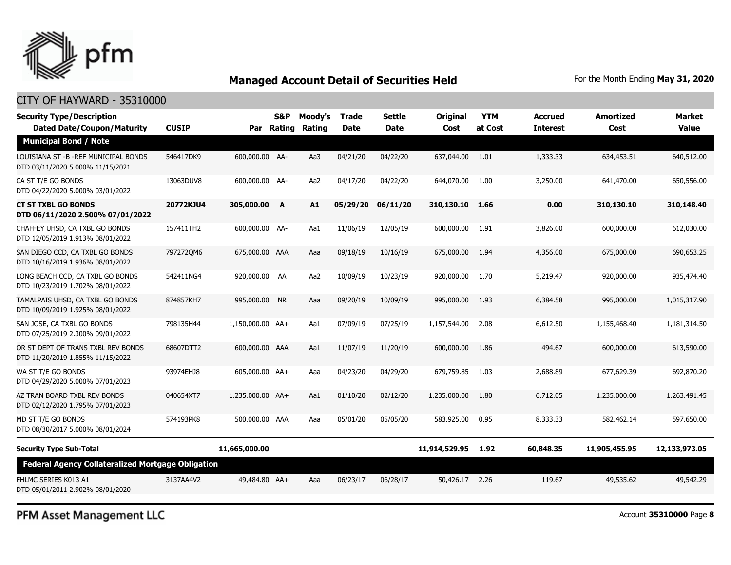

#### CITY OF HAYWARD - 35310000

| <b>Security Type/Description</b><br><b>Dated Date/Coupon/Maturity</b>      | <b>CUSIP</b> |                  | S&P<br>Par Rating | Moody's<br>Rating | Trade<br><b>Date</b> | Settle<br><b>Date</b> | <b>Original</b><br>Cost | <b>YTM</b><br>at Cost | <b>Accrued</b><br><b>Interest</b> | <b>Amortized</b><br>Cost | Market<br><b>Value</b> |
|----------------------------------------------------------------------------|--------------|------------------|-------------------|-------------------|----------------------|-----------------------|-------------------------|-----------------------|-----------------------------------|--------------------------|------------------------|
| <b>Municipal Bond / Note</b>                                               |              |                  |                   |                   |                      |                       |                         |                       |                                   |                          |                        |
| LOUISIANA ST - B - REF MUNICIPAL BONDS<br>DTD 03/11/2020 5.000% 11/15/2021 | 546417DK9    | 600,000.00 AA-   |                   | Aa3               | 04/21/20             | 04/22/20              | 637,044.00              | 1.01                  | 1,333.33                          | 634,453.51               | 640,512.00             |
| CA ST T/E GO BONDS<br>DTD 04/22/2020 5.000% 03/01/2022                     | 13063DUV8    | 600,000.00 AA-   |                   | Aa2               | 04/17/20             | 04/22/20              | 644,070,00              | 1.00                  | 3,250.00                          | 641,470.00               | 650,556.00             |
| <b>CT ST TXBL GO BONDS</b><br>DTD 06/11/2020 2.500% 07/01/2022             | 20772KJU4    | 305,000.00 A     |                   | A1                | 05/29/20             | 06/11/20              | 310,130.10              | 1.66                  | 0.00                              | 310,130.10               | 310,148.40             |
| CHAFFEY UHSD, CA TXBL GO BONDS<br>DTD 12/05/2019 1.913% 08/01/2022         | 157411TH2    | 600,000.00 AA-   |                   | Aa1               | 11/06/19             | 12/05/19              | 600,000.00              | 1.91                  | 3,826.00                          | 600,000.00               | 612,030.00             |
| SAN DIEGO CCD, CA TXBL GO BONDS<br>DTD 10/16/2019 1.936% 08/01/2022        | 7972720M6    | 675,000.00 AAA   |                   | Aaa               | 09/18/19             | 10/16/19              | 675,000.00              | 1.94                  | 4,356.00                          | 675,000.00               | 690,653.25             |
| LONG BEACH CCD, CA TXBL GO BONDS<br>DTD 10/23/2019 1.702% 08/01/2022       | 542411NG4    | 920,000.00 AA    |                   | Aa2               | 10/09/19             | 10/23/19              | 920,000.00              | 1.70                  | 5,219.47                          | 920,000.00               | 935,474.40             |
| TAMALPAIS UHSD, CA TXBL GO BONDS<br>DTD 10/09/2019 1.925% 08/01/2022       | 874857KH7    | 995,000.00 NR    |                   | Aaa               | 09/20/19             | 10/09/19              | 995,000.00              | 1.93                  | 6,384.58                          | 995,000.00               | 1,015,317.90           |
| SAN JOSE, CA TXBL GO BONDS<br>DTD 07/25/2019 2.300% 09/01/2022             | 798135H44    | 1,150,000.00 AA+ |                   | Aa1               | 07/09/19             | 07/25/19              | 1,157,544.00            | 2.08                  | 6,612.50                          | 1,155,468.40             | 1,181,314.50           |
| OR ST DEPT OF TRANS TXBL REV BONDS<br>DTD 11/20/2019 1.855% 11/15/2022     | 68607DTT2    | 600,000.00 AAA   |                   | Aa1               | 11/07/19             | 11/20/19              | 600,000.00              | 1.86                  | 494.67                            | 600,000,00               | 613,590.00             |
| WA ST T/E GO BONDS<br>DTD 04/29/2020 5.000% 07/01/2023                     | 93974EHJ8    | 605,000.00 AA+   |                   | Aaa               | 04/23/20             | 04/29/20              | 679,759.85              | 1.03                  | 2,688.89                          | 677,629.39               | 692,870.20             |
| AZ TRAN BOARD TXBL REV BONDS<br>DTD 02/12/2020 1.795% 07/01/2023           | 040654XT7    | 1,235,000.00 AA+ |                   | Aa1               | 01/10/20             | 02/12/20              | 1,235,000.00            | 1.80                  | 6,712.05                          | 1,235,000.00             | 1,263,491.45           |
| MD ST T/E GO BONDS<br>DTD 08/30/2017 5.000% 08/01/2024                     | 574193PK8    | 500,000.00 AAA   |                   | Aaa               | 05/01/20             | 05/05/20              | 583,925.00              | 0.95                  | 8,333.33                          | 582,462.14               | 597,650.00             |
| <b>Security Type Sub-Total</b>                                             |              | 11,665,000.00    |                   |                   |                      |                       | 11,914,529.95           | 1.92                  | 60,848.35                         | 11,905,455.95            | 12,133,973.05          |
| <b>Federal Agency Collateralized Mortgage Obligation</b>                   |              |                  |                   |                   |                      |                       |                         |                       |                                   |                          |                        |
| FHLMC SERIES K013 A1<br>DTD 05/01/2011 2.902% 08/01/2020                   | 3137AA4V2    | 49,484.80 AA+    |                   | Aaa               | 06/23/17             | 06/28/17              | 50,426.17 2.26          |                       | 119.67                            | 49,535.62                | 49,542.29              |

PFM Asset Management LLC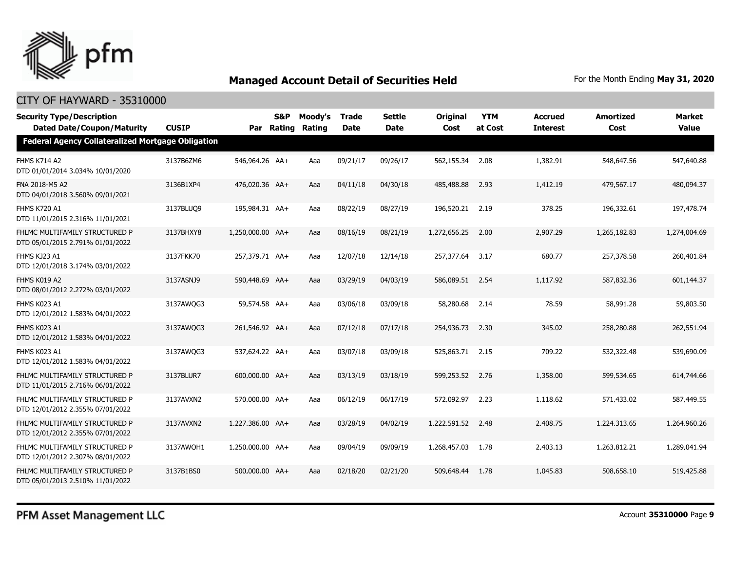

| <b>Security Type/Description</b><br><b>Dated Date/Coupon/Maturity</b> | <b>CUSIP</b> |                  | S&P<br>Par Rating | Moody's<br>Rating | <b>Trade</b><br><b>Date</b> | <b>Settle</b><br><b>Date</b> | <b>Original</b><br>Cost | <b>YTM</b><br>at Cost | Accrued<br><b>Interest</b> | <b>Amortized</b><br>Cost | <b>Market</b><br><b>Value</b> |  |  |
|-----------------------------------------------------------------------|--------------|------------------|-------------------|-------------------|-----------------------------|------------------------------|-------------------------|-----------------------|----------------------------|--------------------------|-------------------------------|--|--|
| <b>Federal Agency Collateralized Mortgage Obligation</b>              |              |                  |                   |                   |                             |                              |                         |                       |                            |                          |                               |  |  |
| <b>FHMS K714 A2</b><br>DTD 01/01/2014 3.034% 10/01/2020               | 3137B6ZM6    | 546,964.26 AA+   |                   | Aaa               | 09/21/17                    | 09/26/17                     | 562,155.34              | 2.08                  | 1,382.91                   | 548,647.56               | 547,640.88                    |  |  |
| FNA 2018-M5 A2<br>DTD 04/01/2018 3.560% 09/01/2021                    | 3136B1XP4    | 476,020.36 AA+   |                   | Aaa               | 04/11/18                    | 04/30/18                     | 485,488.88              | 2.93                  | 1,412.19                   | 479,567.17               | 480,094.37                    |  |  |
| <b>FHMS K720 A1</b><br>DTD 11/01/2015 2.316% 11/01/2021               | 3137BLUQ9    | 195,984.31 AA+   |                   | Aaa               | 08/22/19                    | 08/27/19                     | 196,520.21              | 2.19                  | 378.25                     | 196,332.61               | 197,478.74                    |  |  |
| FHLMC MULTIFAMILY STRUCTURED P<br>DTD 05/01/2015 2.791% 01/01/2022    | 3137BHXY8    | 1,250,000.00 AA+ |                   | Aaa               | 08/16/19                    | 08/21/19                     | 1,272,656.25            | 2.00                  | 2,907.29                   | 1,265,182.83             | 1,274,004.69                  |  |  |
| FHMS KJ23 A1<br>DTD 12/01/2018 3.174% 03/01/2022                      | 3137FKK70    | 257,379.71 AA+   |                   | Aaa               | 12/07/18                    | 12/14/18                     | 257,377.64              | 3.17                  | 680.77                     | 257,378.58               | 260,401.84                    |  |  |
| FHMS K019 A2<br>DTD 08/01/2012 2.272% 03/01/2022                      | 3137ASNJ9    | 590,448.69 AA+   |                   | Aaa               | 03/29/19                    | 04/03/19                     | 586,089.51 2.54         |                       | 1,117.92                   | 587,832.36               | 601,144.37                    |  |  |
| FHMS K023 A1<br>DTD 12/01/2012 1.583% 04/01/2022                      | 3137AWQG3    | 59,574.58 AA+    |                   | Aaa               | 03/06/18                    | 03/09/18                     | 58,280.68               | 2.14                  | 78.59                      | 58,991.28                | 59,803.50                     |  |  |
| FHMS K023 A1<br>DTD 12/01/2012 1.583% 04/01/2022                      | 3137AWQG3    | 261,546.92 AA+   |                   | Aaa               | 07/12/18                    | 07/17/18                     | 254,936.73              | 2.30                  | 345.02                     | 258,280.88               | 262,551.94                    |  |  |
| FHMS K023 A1<br>DTD 12/01/2012 1.583% 04/01/2022                      | 3137AWQG3    | 537,624.22 AA+   |                   | Aaa               | 03/07/18                    | 03/09/18                     | 525,863.71 2.15         |                       | 709.22                     | 532,322.48               | 539,690.09                    |  |  |
| FHLMC MULTIFAMILY STRUCTURED P<br>DTD 11/01/2015 2.716% 06/01/2022    | 3137BLUR7    | 600,000.00 AA+   |                   | Aaa               | 03/13/19                    | 03/18/19                     | 599,253.52 2.76         |                       | 1,358.00                   | 599,534.65               | 614,744.66                    |  |  |
| FHLMC MULTIFAMILY STRUCTURED P<br>DTD 12/01/2012 2.355% 07/01/2022    | 3137AVXN2    | 570,000.00 AA+   |                   | Aaa               | 06/12/19                    | 06/17/19                     | 572,092.97              | 2.23                  | 1,118.62                   | 571,433.02               | 587,449.55                    |  |  |
| FHLMC MULTIFAMILY STRUCTURED P<br>DTD 12/01/2012 2.355% 07/01/2022    | 3137AVXN2    | 1,227,386.00 AA+ |                   | Aaa               | 03/28/19                    | 04/02/19                     | 1,222,591.52            | 2.48                  | 2,408.75                   | 1,224,313.65             | 1,264,960.26                  |  |  |
| FHLMC MULTIFAMILY STRUCTURED P<br>DTD 12/01/2012 2.307% 08/01/2022    | 3137AWOH1    | 1,250,000.00 AA+ |                   | Aaa               | 09/04/19                    | 09/09/19                     | 1,268,457.03            | 1.78                  | 2,403.13                   | 1,263,812.21             | 1,289,041.94                  |  |  |
| FHLMC MULTIFAMILY STRUCTURED P<br>DTD 05/01/2013 2.510% 11/01/2022    | 3137B1BS0    | 500,000.00 AA+   |                   | Aaa               | 02/18/20                    | 02/21/20                     | 509,648.44              | 1.78                  | 1,045.83                   | 508,658.10               | 519,425.88                    |  |  |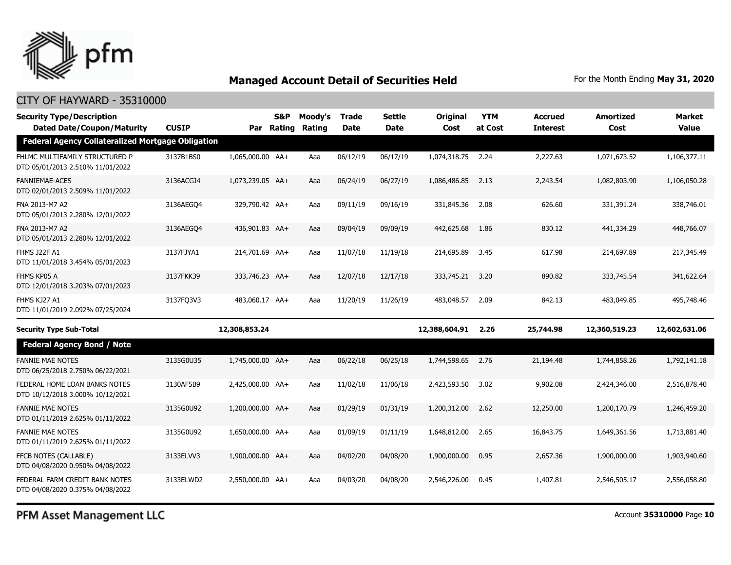

#### CITY OF HAYWARD - 35310000

| <b>Security Type/Description</b><br><b>Dated Date/Coupon/Maturity</b> | <b>CUSIP</b> |                  | <b>S&amp;P</b><br>Par Rating | Moody's<br>Rating | <b>Trade</b><br><b>Date</b> | Settle<br><b>Date</b> | Original<br>Cost | <b>YTM</b><br>at Cost | <b>Accrued</b><br><b>Interest</b> | Amortized<br>Cost | <b>Market</b><br><b>Value</b> |
|-----------------------------------------------------------------------|--------------|------------------|------------------------------|-------------------|-----------------------------|-----------------------|------------------|-----------------------|-----------------------------------|-------------------|-------------------------------|
| <b>Federal Agency Collateralized Mortgage Obligation</b>              |              |                  |                              |                   |                             |                       |                  |                       |                                   |                   |                               |
| FHLMC MULTIFAMILY STRUCTURED P<br>DTD 05/01/2013 2.510% 11/01/2022    | 3137B1BS0    | 1,065,000.00 AA+ |                              | Aaa               | 06/12/19                    | 06/17/19              | 1,074,318.75     | 2.24                  | 2,227.63                          | 1,071,673.52      | 1,106,377.11                  |
| <b>FANNIEMAE-ACES</b><br>DTD 02/01/2013 2.509% 11/01/2022             | 3136ACGJ4    | 1,073,239.05 AA+ |                              | Aaa               | 06/24/19                    | 06/27/19              | 1,086,486.85     | 2.13                  | 2,243.54                          | 1,082,803.90      | 1,106,050.28                  |
| FNA 2013-M7 A2<br>DTD 05/01/2013 2.280% 12/01/2022                    | 3136AEGO4    | 329,790.42 AA+   |                              | Aaa               | 09/11/19                    | 09/16/19              | 331,845.36       | 2.08                  | 626.60                            | 331,391.24        | 338,746.01                    |
| FNA 2013-M7 A2<br>DTD 05/01/2013 2.280% 12/01/2022                    | 3136AEGO4    | 436,901.83 AA+   |                              | Aaa               | 09/04/19                    | 09/09/19              | 442,625.68       | 1.86                  | 830.12                            | 441,334.29        | 448,766.07                    |
| FHMS J22F A1<br>DTD 11/01/2018 3.454% 05/01/2023                      | 3137FJYA1    | 214,701.69 AA+   |                              | Aaa               | 11/07/18                    | 11/19/18              | 214,695.89       | 3.45                  | 617.98                            | 214,697.89        | 217,345.49                    |
| FHMS KP05 A<br>DTD 12/01/2018 3.203% 07/01/2023                       | 3137FKK39    | 333,746.23 AA+   |                              | Aaa               | 12/07/18                    | 12/17/18              | 333,745.21       | 3.20                  | 890.82                            | 333,745.54        | 341,622.64                    |
| FHMS KJ27 A1<br>DTD 11/01/2019 2.092% 07/25/2024                      | 3137FO3V3    | 483,060.17 AA+   |                              | Aaa               | 11/20/19                    | 11/26/19              | 483,048.57       | 2.09                  | 842.13                            | 483,049.85        | 495,748,46                    |
| <b>Security Type Sub-Total</b>                                        |              | 12,308,853.24    |                              |                   |                             |                       | 12,388,604.91    | 2.26                  | 25,744.98                         | 12,360,519.23     | 12,602,631.06                 |
| <b>Federal Agency Bond / Note</b>                                     |              |                  |                              |                   |                             |                       |                  |                       |                                   |                   |                               |
| <b>FANNIE MAE NOTES</b><br>DTD 06/25/2018 2.750% 06/22/2021           | 3135G0U35    | 1,745,000.00 AA+ |                              | Aaa               | 06/22/18                    | 06/25/18              | 1,744,598.65     | 2.76                  | 21,194.48                         | 1,744,858.26      | 1,792,141.18                  |
| FEDERAL HOME LOAN BANKS NOTES<br>DTD 10/12/2018 3.000% 10/12/2021     | 3130AF5B9    | 2,425,000.00 AA+ |                              | Aaa               | 11/02/18                    | 11/06/18              | 2,423,593.50     | 3.02                  | 9,902.08                          | 2,424,346.00      | 2,516,878.40                  |
| <b>FANNIE MAE NOTES</b><br>DTD 01/11/2019 2.625% 01/11/2022           | 3135G0U92    | 1,200,000.00 AA+ |                              | Aaa               | 01/29/19                    | 01/31/19              | 1,200,312.00     | 2.62                  | 12,250.00                         | 1,200,170.79      | 1,246,459.20                  |
| <b>FANNIE MAE NOTES</b><br>DTD 01/11/2019 2.625% 01/11/2022           | 3135G0U92    | 1,650,000.00 AA+ |                              | Aaa               | 01/09/19                    | 01/11/19              | 1,648,812.00     | 2.65                  | 16,843.75                         | 1,649,361.56      | 1,713,881.40                  |
| FFCB NOTES (CALLABLE)<br>DTD 04/08/2020 0.950% 04/08/2022             | 3133ELVV3    | 1,900,000.00 AA+ |                              | Aaa               | 04/02/20                    | 04/08/20              | 1,900,000.00     | 0.95                  | 2,657.36                          | 1,900,000.00      | 1,903,940.60                  |
| FEDERAL FARM CREDIT BANK NOTES<br>DTD 04/08/2020 0.375% 04/08/2022    | 3133ELWD2    | 2.550.000.00 AA+ |                              | Aaa               | 04/03/20                    | 04/08/20              | 2,546,226,00     | 0.45                  | 1,407.81                          | 2,546,505.17      | 2,556,058.80                  |

PFM Asset Management LLC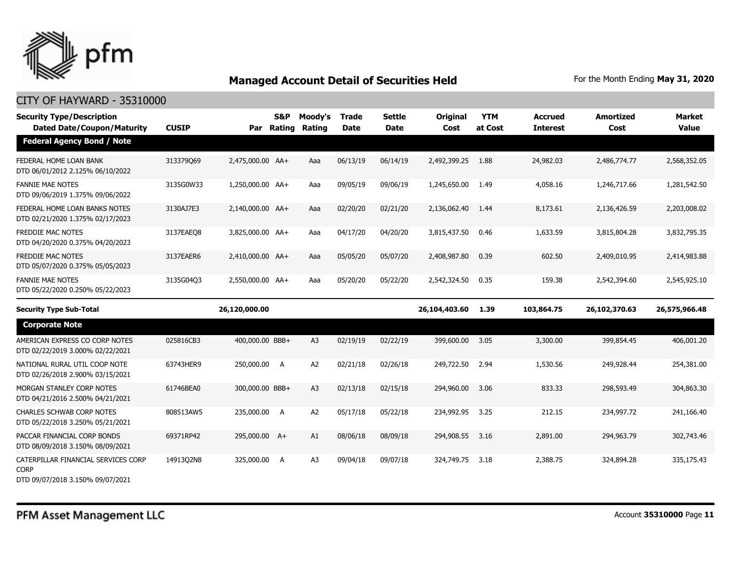

| <b>Security Type/Description</b><br><b>Dated Date/Coupon/Maturity</b> | <b>CUSIP</b> | Par Rating       | <b>S&amp;P</b> | Moody's<br>Rating | <b>Trade</b><br><b>Date</b> | <b>Settle</b><br><b>Date</b> | Original<br>Cost | <b>YTM</b><br>at Cost | <b>Accrued</b><br><b>Interest</b> | <b>Amortized</b><br>Cost | <b>Market</b><br><b>Value</b> |
|-----------------------------------------------------------------------|--------------|------------------|----------------|-------------------|-----------------------------|------------------------------|------------------|-----------------------|-----------------------------------|--------------------------|-------------------------------|
| <b>Federal Agency Bond / Note</b>                                     |              |                  |                |                   |                             |                              |                  |                       |                                   |                          |                               |
| FEDERAL HOME LOAN BANK<br>DTD 06/01/2012 2.125% 06/10/2022            | 313379069    | 2,475,000.00 AA+ |                | Aaa               | 06/13/19                    | 06/14/19                     | 2,492,399.25     | 1.88                  | 24,982.03                         | 2,486,774.77             | 2,568,352.05                  |
| <b>FANNIE MAE NOTES</b><br>DTD 09/06/2019 1.375% 09/06/2022           | 3135G0W33    | 1,250,000.00 AA+ |                | Aaa               | 09/05/19                    | 09/06/19                     | 1,245,650.00     | 1.49                  | 4,058.16                          | 1,246,717.66             | 1,281,542.50                  |
| FEDERAL HOME LOAN BANKS NOTES<br>DTD 02/21/2020 1.375% 02/17/2023     | 3130AJ7E3    | 2,140,000.00 AA+ |                | Aaa               | 02/20/20                    | 02/21/20                     | 2,136,062.40     | 1.44                  | 8,173.61                          | 2,136,426.59             | 2,203,008.02                  |
| <b>FREDDIE MAC NOTES</b><br>DTD 04/20/2020 0.375% 04/20/2023          | 3137EAEO8    | 3,825,000.00 AA+ |                | Aaa               | 04/17/20                    | 04/20/20                     | 3,815,437.50     | 0.46                  | 1,633.59                          | 3,815,804.28             | 3,832,795.35                  |
| <b>FREDDIE MAC NOTES</b><br>DTD 05/07/2020 0.375% 05/05/2023          | 3137EAER6    | 2,410,000.00 AA+ |                | Aaa               | 05/05/20                    | 05/07/20                     | 2,408,987.80     | 0.39                  | 602.50                            | 2,409,010.95             | 2,414,983.88                  |
| <b>FANNIE MAE NOTES</b><br>DTD 05/22/2020 0.250% 05/22/2023           | 3135G04Q3    | 2,550,000.00 AA+ |                | Aaa               | 05/20/20                    | 05/22/20                     | 2,542,324.50     | 0.35                  | 159.38                            | 2,542,394.60             | 2,545,925.10                  |
|                                                                       |              |                  |                |                   |                             |                              |                  |                       |                                   |                          |                               |
| <b>Security Type Sub-Total</b>                                        |              | 26,120,000.00    |                |                   |                             |                              | 26,104,403.60    | 1.39                  | 103,864.75                        | 26,102,370.63            | 26,575,966.48                 |
| <b>Corporate Note</b>                                                 |              |                  |                |                   |                             |                              |                  |                       |                                   |                          |                               |
| AMERICAN EXPRESS CO CORP NOTES<br>DTD 02/22/2019 3.000% 02/22/2021    | 025816CB3    | 400,000.00 BBB+  |                | A <sub>3</sub>    | 02/19/19                    | 02/22/19                     | 399,600.00       | 3.05                  | 3,300.00                          | 399,854.45               | 406,001.20                    |
| NATIONAL RURAL UTIL COOP NOTE<br>DTD 02/26/2018 2.900% 03/15/2021     | 63743HER9    | 250,000.00 A     |                | A <sub>2</sub>    | 02/21/18                    | 02/26/18                     | 249,722.50       | 2.94                  | 1,530.56                          | 249,928.44               | 254,381.00                    |
| MORGAN STANLEY CORP NOTES<br>DTD 04/21/2016 2.500% 04/21/2021         | 61746BEA0    | 300,000.00 BBB+  |                | A <sub>3</sub>    | 02/13/18                    | 02/15/18                     | 294,960.00       | 3.06                  | 833.33                            | 298,593.49               | 304,863.30                    |
| <b>CHARLES SCHWAB CORP NOTES</b><br>DTD 05/22/2018 3.250% 05/21/2021  | 808513AW5    | 235,000.00 A     |                | A <sub>2</sub>    | 05/17/18                    | 05/22/18                     | 234,992.95       | 3.25                  | 212.15                            | 234,997.72               | 241,166.40                    |
| PACCAR FINANCIAL CORP BONDS<br>DTD 08/09/2018 3.150% 08/09/2021       | 69371RP42    | 295,000.00 A+    |                | A1                | 08/06/18                    | 08/09/18                     | 294,908.55       | 3.16                  | 2,891.00                          | 294,963.79               | 302,743.46                    |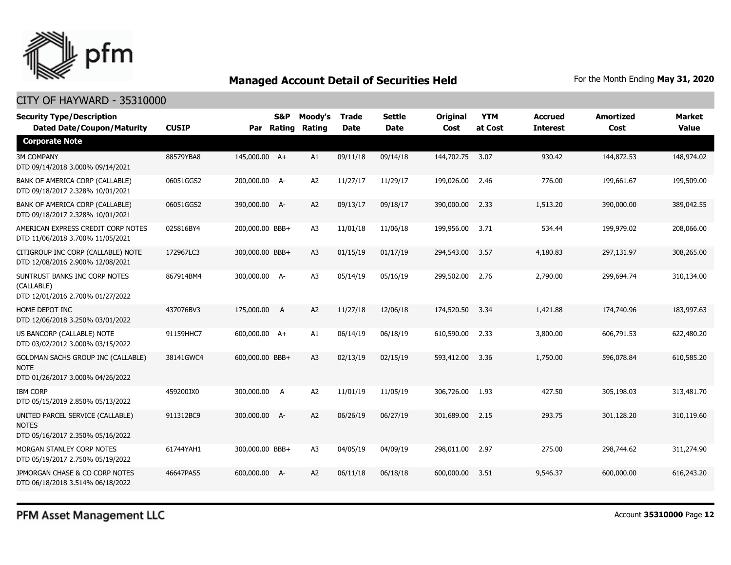

#### CITY OF HAYWARD - 35310000

| <b>Security Type/Description</b><br><b>Dated Date/Coupon/Maturity</b>                        | <b>CUSIP</b> |                 | <b>S&amp;P</b><br>Par Rating | Moody's<br>Rating | <b>Trade</b><br><b>Date</b> | <b>Settle</b><br><b>Date</b> | <b>Original</b><br>Cost | <b>YTM</b><br>at Cost | <b>Accrued</b><br><b>Interest</b> | <b>Amortized</b><br>Cost | <b>Market</b><br><b>Value</b> |
|----------------------------------------------------------------------------------------------|--------------|-----------------|------------------------------|-------------------|-----------------------------|------------------------------|-------------------------|-----------------------|-----------------------------------|--------------------------|-------------------------------|
| <b>Corporate Note</b>                                                                        |              |                 |                              |                   |                             |                              |                         |                       |                                   |                          |                               |
| <b>3M COMPANY</b><br>DTD 09/14/2018 3.000% 09/14/2021                                        | 88579YBA8    | 145,000.00 A+   |                              | A1                | 09/11/18                    | 09/14/18                     | 144,702.75              | 3.07                  | 930.42                            | 144,872.53               | 148,974.02                    |
| BANK OF AMERICA CORP (CALLABLE)<br>DTD 09/18/2017 2.328% 10/01/2021                          | 06051GGS2    | 200,000.00 A-   |                              | A <sub>2</sub>    | 11/27/17                    | 11/29/17                     | 199,026.00              | 2.46                  | 776.00                            | 199,661.67               | 199,509.00                    |
| BANK OF AMERICA CORP (CALLABLE)<br>DTD 09/18/2017 2.328% 10/01/2021                          | 06051GGS2    | 390,000.00 A-   |                              | A2                | 09/13/17                    | 09/18/17                     | 390,000.00              | 2.33                  | 1,513.20                          | 390,000.00               | 389,042.55                    |
| AMERICAN EXPRESS CREDIT CORP NOTES<br>DTD 11/06/2018 3.700% 11/05/2021                       | 025816BY4    | 200,000.00 BBB+ |                              | A <sub>3</sub>    | 11/01/18                    | 11/06/18                     | 199,956.00              | 3.71                  | 534.44                            | 199,979.02               | 208,066.00                    |
| CITIGROUP INC CORP (CALLABLE) NOTE<br>DTD 12/08/2016 2.900% 12/08/2021                       | 172967LC3    | 300,000.00 BBB+ |                              | A <sub>3</sub>    | 01/15/19                    | 01/17/19                     | 294,543.00              | 3.57                  | 4,180.83                          | 297,131.97               | 308,265.00                    |
| SUNTRUST BANKS INC CORP NOTES<br>(CALLABLE)<br>DTD 12/01/2016 2.700% 01/27/2022              | 867914BM4    | 300,000.00 A-   |                              | A <sub>3</sub>    | 05/14/19                    | 05/16/19                     | 299,502.00              | 2.76                  | 2,790.00                          | 299,694.74               | 310,134.00                    |
| HOME DEPOT INC<br>DTD 12/06/2018 3.250% 03/01/2022                                           | 437076BV3    | 175,000.00 A    |                              | A2                | 11/27/18                    | 12/06/18                     | 174,520.50              | 3.34                  | 1,421.88                          | 174,740.96               | 183,997.63                    |
| US BANCORP (CALLABLE) NOTE<br>DTD 03/02/2012 3.000% 03/15/2022                               | 91159HHC7    | 600,000.00 A+   |                              | A1                | 06/14/19                    | 06/18/19                     | 610,590.00              | 2.33                  | 3,800.00                          | 606,791.53               | 622,480.20                    |
| <b>GOLDMAN SACHS GROUP INC (CALLABLE)</b><br><b>NOTE</b><br>DTD 01/26/2017 3.000% 04/26/2022 | 38141GWC4    | 600,000.00 BBB+ |                              | A <sub>3</sub>    | 02/13/19                    | 02/15/19                     | 593,412.00              | 3.36                  | 1,750.00                          | 596,078.84               | 610,585.20                    |
| <b>IBM CORP</b><br>DTD 05/15/2019 2.850% 05/13/2022                                          | 459200JX0    | 300,000.00 A    |                              | A <sub>2</sub>    | 11/01/19                    | 11/05/19                     | 306,726.00              | 1.93                  | 427.50                            | 305,198.03               | 313,481.70                    |
| UNITED PARCEL SERVICE (CALLABLE)<br><b>NOTES</b><br>DTD 05/16/2017 2.350% 05/16/2022         | 911312BC9    | 300,000.00 A-   |                              | A2                | 06/26/19                    | 06/27/19                     | 301,689.00              | 2.15                  | 293.75                            | 301,128.20               | 310,119.60                    |
| MORGAN STANLEY CORP NOTES<br>DTD 05/19/2017 2.750% 05/19/2022                                | 61744YAH1    | 300,000.00 BBB+ |                              | A <sub>3</sub>    | 04/05/19                    | 04/09/19                     | 298,011.00              | 2.97                  | 275.00                            | 298,744.62               | 311,274.90                    |
| JPMORGAN CHASE & CO CORP NOTES<br>DTD 06/18/2018 3.514% 06/18/2022                           | 46647PAS5    | 600,000,00 A-   |                              | A2                | 06/11/18                    | 06/18/18                     | 600,000,00              | 3.51                  | 9,546.37                          | 600,000.00               | 616,243.20                    |

PFM Asset Management LLC

Account **35310000** Page **12**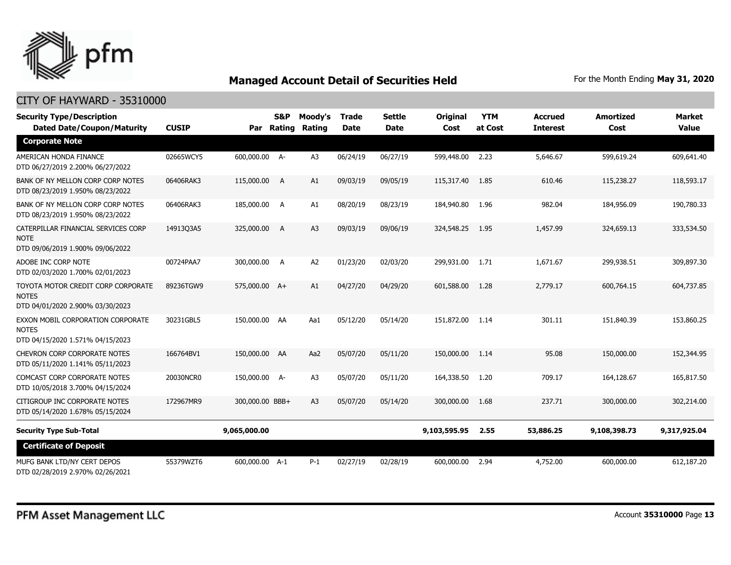

| <b>Security Type/Description</b><br><b>Dated Date/Coupon/Maturity</b>                  | <b>CUSIP</b> | Par             | S&P<br>Rating | Moody's<br>Rating | <b>Trade</b><br><b>Date</b> | <b>Settle</b><br><b>Date</b> | Original<br>Cost | <b>YTM</b><br>at Cost | <b>Accrued</b><br><b>Interest</b> | <b>Amortized</b><br>Cost | <b>Market</b><br><b>Value</b> |
|----------------------------------------------------------------------------------------|--------------|-----------------|---------------|-------------------|-----------------------------|------------------------------|------------------|-----------------------|-----------------------------------|--------------------------|-------------------------------|
| <b>Corporate Note</b>                                                                  |              |                 |               |                   |                             |                              |                  |                       |                                   |                          |                               |
| AMERICAN HONDA FINANCE<br>DTD 06/27/2019 2.200% 06/27/2022                             | 02665WCY5    | 600,000.00 A-   |               | A <sub>3</sub>    | 06/24/19                    | 06/27/19                     | 599,448.00       | 2.23                  | 5,646.67                          | 599,619.24               | 609,641.40                    |
| BANK OF NY MELLON CORP CORP NOTES<br>DTD 08/23/2019 1.950% 08/23/2022                  | 06406RAK3    | 115,000.00      | A             | A1                | 09/03/19                    | 09/05/19                     | 115,317.40       | 1.85                  | 610.46                            | 115,238.27               | 118,593.17                    |
| BANK OF NY MELLON CORP CORP NOTES<br>DTD 08/23/2019 1.950% 08/23/2022                  | 06406RAK3    | 185,000.00      | <b>A</b>      | A1                | 08/20/19                    | 08/23/19                     | 184,940.80       | 1.96                  | 982.04                            | 184,956.09               | 190,780.33                    |
| CATERPILLAR FINANCIAL SERVICES CORP<br><b>NOTE</b><br>DTD 09/06/2019 1.900% 09/06/2022 | 14913Q3A5    | 325,000.00      | A             | A <sub>3</sub>    | 09/03/19                    | 09/06/19                     | 324,548.25       | 1.95                  | 1,457.99                          | 324,659.13               | 333,534.50                    |
| ADOBE INC CORP NOTE<br>DTD 02/03/2020 1.700% 02/01/2023                                | 00724PAA7    | 300,000.00      | A             | A2                | 01/23/20                    | 02/03/20                     | 299,931.00       | 1.71                  | 1,671.67                          | 299,938.51               | 309,897.30                    |
| TOYOTA MOTOR CREDIT CORP CORPORATE<br><b>NOTES</b><br>DTD 04/01/2020 2.900% 03/30/2023 | 89236TGW9    | 575,000.00 A+   |               | A1                | 04/27/20                    | 04/29/20                     | 601,588.00       | 1.28                  | 2,779.17                          | 600,764.15               | 604,737.85                    |
| EXXON MOBIL CORPORATION CORPORATE<br><b>NOTES</b><br>DTD 04/15/2020 1.571% 04/15/2023  | 30231GBL5    | 150,000.00 AA   |               | Aa1               | 05/12/20                    | 05/14/20                     | 151,872.00       | 1.14                  | 301.11                            | 151,840.39               | 153,860.25                    |
| CHEVRON CORP CORPORATE NOTES<br>DTD 05/11/2020 1.141% 05/11/2023                       | 166764BV1    | 150,000.00 AA   |               | Aa2               | 05/07/20                    | 05/11/20                     | 150,000.00       | 1.14                  | 95.08                             | 150,000,00               | 152,344.95                    |
| <b>COMCAST CORP CORPORATE NOTES</b><br>DTD 10/05/2018 3.700% 04/15/2024                | 20030NCR0    | 150,000.00 A-   |               | A <sub>3</sub>    | 05/07/20                    | 05/11/20                     | 164,338.50       | 1.20                  | 709.17                            | 164,128.67               | 165,817.50                    |
| CITIGROUP INC CORPORATE NOTES<br>DTD 05/14/2020 1.678% 05/15/2024                      | 172967MR9    | 300,000.00 BBB+ |               | A3                | 05/07/20                    | 05/14/20                     | 300,000.00       | 1.68                  | 237.71                            | 300,000.00               | 302,214.00                    |
| <b>Security Type Sub-Total</b>                                                         |              | 9,065,000.00    |               |                   |                             |                              | 9,103,595.95     | 2.55                  | 53,886.25                         | 9,108,398.73             | 9,317,925.04                  |
| <b>Certificate of Deposit</b>                                                          |              |                 |               |                   |                             |                              |                  |                       |                                   |                          |                               |
| MUFG BANK LTD/NY CERT DEPOS<br>DTD 02/28/2019 2.970% 02/26/2021                        | 55379WZT6    | 600,000.00 A-1  |               | $P-1$             | 02/27/19                    | 02/28/19                     | 600,000.00       | 2.94                  | 4,752.00                          | 600,000.00               | 612,187.20                    |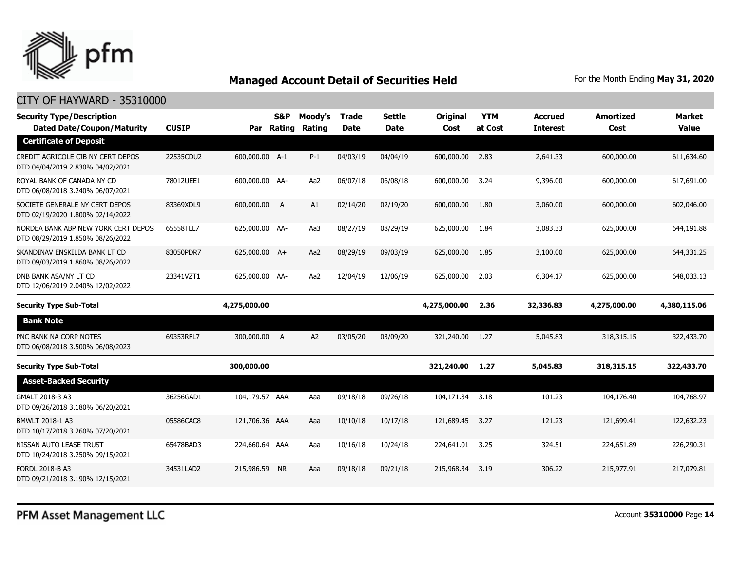

| <b>Security Type/Description</b><br><b>Dated Date/Coupon/Maturity</b>   | <b>CUSIP</b> |                | S&P<br>Par Rating | Moody's<br>Rating | Trade<br><b>Date</b> | <b>Settle</b><br><b>Date</b> | <b>Original</b><br>Cost | <b>YTM</b><br>at Cost | <b>Accrued</b><br><b>Interest</b> | <b>Amortized</b><br>Cost | <b>Market</b><br><b>Value</b> |
|-------------------------------------------------------------------------|--------------|----------------|-------------------|-------------------|----------------------|------------------------------|-------------------------|-----------------------|-----------------------------------|--------------------------|-------------------------------|
| <b>Certificate of Deposit</b>                                           |              |                |                   |                   |                      |                              |                         |                       |                                   |                          |                               |
| CREDIT AGRICOLE CIB NY CERT DEPOS<br>DTD 04/04/2019 2.830% 04/02/2021   | 22535CDU2    | 600,000.00 A-1 |                   | $P-1$             | 04/03/19             | 04/04/19                     | 600,000.00              | 2.83                  | 2,641.33                          | 600,000.00               | 611,634.60                    |
| ROYAL BANK OF CANADA NY CD<br>DTD 06/08/2018 3.240% 06/07/2021          | 78012UEE1    | 600,000.00 AA- |                   | Aa2               | 06/07/18             | 06/08/18                     | 600,000.00              | 3.24                  | 9,396.00                          | 600,000.00               | 617,691.00                    |
| SOCIETE GENERALE NY CERT DEPOS<br>DTD 02/19/2020 1.800% 02/14/2022      | 83369XDL9    | 600,000.00 A   |                   | A1                | 02/14/20             | 02/19/20                     | 600,000.00              | 1.80                  | 3,060.00                          | 600,000.00               | 602,046.00                    |
| NORDEA BANK ABP NEW YORK CERT DEPOS<br>DTD 08/29/2019 1.850% 08/26/2022 | 65558TLL7    | 625,000.00 AA- |                   | Aa3               | 08/27/19             | 08/29/19                     | 625,000.00              | 1.84                  | 3,083.33                          | 625,000.00               | 644,191.88                    |
| SKANDINAV ENSKILDA BANK LT CD<br>DTD 09/03/2019 1.860% 08/26/2022       | 83050PDR7    | 625,000.00 A+  |                   | Aa2               | 08/29/19             | 09/03/19                     | 625,000.00              | 1.85                  | 3,100.00                          | 625,000.00               | 644,331.25                    |
| DNB BANK ASA/NY LT CD<br>DTD 12/06/2019 2.040% 12/02/2022               | 23341VZT1    | 625,000.00 AA- |                   | Aa2               | 12/04/19             | 12/06/19                     | 625,000.00              | 2.03                  | 6,304.17                          | 625,000.00               | 648,033.13                    |
|                                                                         |              |                |                   |                   |                      |                              |                         |                       |                                   |                          |                               |
| <b>Security Type Sub-Total</b>                                          |              | 4,275,000.00   |                   |                   |                      |                              | 4,275,000.00            | 2.36                  | 32,336.83                         | 4,275,000.00             | 4,380,115.06                  |
| <b>Bank Note</b>                                                        |              |                |                   |                   |                      |                              |                         |                       |                                   |                          |                               |
| PNC BANK NA CORP NOTES<br>DTD 06/08/2018 3.500% 06/08/2023              | 69353RFL7    | 300,000.00 A   |                   | A <sub>2</sub>    | 03/05/20             | 03/09/20                     | 321,240.00              | 1.27                  | 5,045.83                          | 318, 315. 15             | 322,433.70                    |
| <b>Security Type Sub-Total</b>                                          |              | 300,000.00     |                   |                   |                      |                              | 321,240.00              | 1.27                  | 5,045.83                          | 318,315.15               | 322,433.70                    |
| <b>Asset-Backed Security</b>                                            |              |                |                   |                   |                      |                              |                         |                       |                                   |                          |                               |
| GMALT 2018-3 A3<br>DTD 09/26/2018 3.180% 06/20/2021                     | 36256GAD1    | 104,179.57 AAA |                   | Aaa               | 09/18/18             | 09/26/18                     | 104,171.34              | 3.18                  | 101.23                            | 104,176,40               | 104,768.97                    |
| BMWLT 2018-1 A3<br>DTD 10/17/2018 3.260% 07/20/2021                     | 05586CAC8    | 121,706.36 AAA |                   | Aaa               | 10/10/18             | 10/17/18                     | 121,689.45              | 3.27                  | 121.23                            | 121,699.41               | 122,632.23                    |
| NISSAN AUTO LEASE TRUST<br>DTD 10/24/2018 3.250% 09/15/2021             | 65478BAD3    | 224,660,64 AAA |                   | Aaa               | 10/16/18             | 10/24/18                     | 224,641.01              | 3.25                  | 324.51                            | 224,651.89               | 226,290.31                    |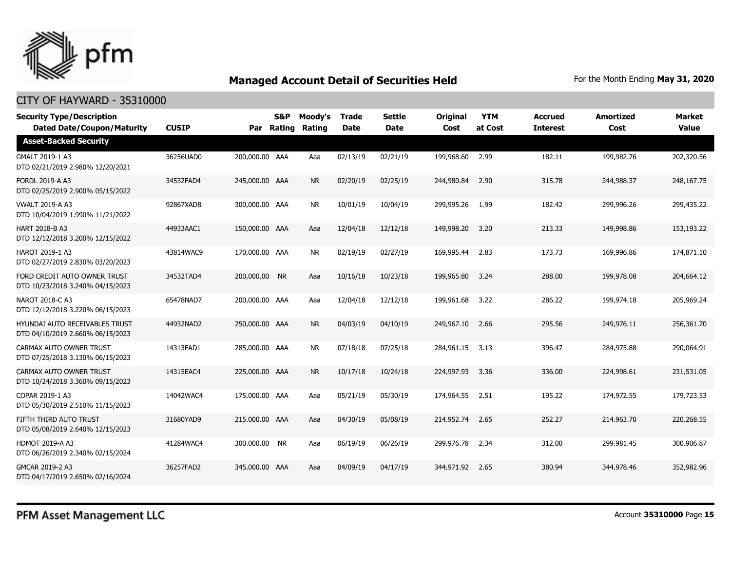

| <b>Security Type/Description</b><br><b>Dated Date/Coupon/Maturity</b>     | <b>CUSIP</b> |                | S&P<br>Par Rating | Moody's<br>Rating | <b>Trade</b><br><b>Date</b> | <b>Settle</b><br><b>Date</b> | <b>Original</b><br>Cost | <b>YTM</b><br>at Cost | <b>Accrued</b><br><b>Interest</b> | <b>Amortized</b><br>Cost | <b>Market</b><br><b>Value</b> |
|---------------------------------------------------------------------------|--------------|----------------|-------------------|-------------------|-----------------------------|------------------------------|-------------------------|-----------------------|-----------------------------------|--------------------------|-------------------------------|
| <b>Asset-Backed Security</b>                                              |              |                |                   |                   |                             |                              |                         |                       |                                   |                          |                               |
| GMALT 2019-1 A3<br>DTD 02/21/2019 2.980% 12/20/2021                       | 36256UAD0    | 200,000.00 AAA |                   | Aaa               | 02/13/19                    | 02/21/19                     | 199,968.60              | 2.99                  | 182.11                            | 199,982.76               | 202,320.56                    |
| <b>FORDL 2019-A A3</b><br>DTD 02/25/2019 2.900% 05/15/2022                | 34532FAD4    | 245,000.00 AAA |                   | <b>NR</b>         | 02/20/19                    | 02/25/19                     | 244,980.84              | 2.90                  | 315.78                            | 244,988.37               | 248,167.75                    |
| <b>VWALT 2019-A A3</b><br>DTD 10/04/2019 1.990% 11/21/2022                | 92867XAD8    | 300,000.00 AAA |                   | <b>NR</b>         | 10/01/19                    | 10/04/19                     | 299,995.26              | 1.99                  | 182.42                            | 299,996.26               | 299,435.22                    |
| <b>HART 2018-B A3</b><br>DTD 12/12/2018 3.200% 12/15/2022                 | 44933AAC1    | 150,000.00 AAA |                   | Aaa               | 12/04/18                    | 12/12/18                     | 149,998.20              | 3.20                  | 213.33                            | 149,998.86               | 153,193.22                    |
| HAROT 2019-1 A3<br>DTD 02/27/2019 2.830% 03/20/2023                       | 43814WAC9    | 170,000.00 AAA |                   | <b>NR</b>         | 02/19/19                    | 02/27/19                     | 169,995.44              | 2.83                  | 173.73                            | 169,996.86               | 174,871.10                    |
| FORD CREDIT AUTO OWNER TRUST<br>DTD 10/23/2018 3.240% 04/15/2023          | 34532TAD4    | 200,000.00 NR  |                   | Aaa               | 10/16/18                    | 10/23/18                     | 199,965.80              | 3.24                  | 288.00                            | 199,978.08               | 204,664.12                    |
| NAROT 2018-C A3<br>DTD 12/12/2018 3.220% 06/15/2023                       | 65478NAD7    | 200,000.00 AAA |                   | Aaa               | 12/04/18                    | 12/12/18                     | 199,961.68              | 3.22                  | 286.22                            | 199,974.18               | 205,969.24                    |
| <b>HYUNDAI AUTO RECEIVABLES TRUST</b><br>DTD 04/10/2019 2.660% 06/15/2023 | 44932NAD2    | 250,000.00 AAA |                   | <b>NR</b>         | 04/03/19                    | 04/10/19                     | 249,967.10              | 2.66                  | 295.56                            | 249,976.11               | 256,361.70                    |
| CARMAX AUTO OWNER TRUST<br>DTD 07/25/2018 3.130% 06/15/2023               | 14313FAD1    | 285,000.00 AAA |                   | <b>NR</b>         | 07/18/18                    | 07/25/18                     | 284,961.15              | 3.13                  | 396.47                            | 284,975.88               | 290.064.91                    |
| CARMAX AUTO OWNER TRUST<br>DTD 10/24/2018 3.360% 09/15/2023               | 14315EAC4    | 225,000.00 AAA |                   | <b>NR</b>         | 10/17/18                    | 10/24/18                     | 224,997.93              | 3.36                  | 336.00                            | 224,998.61               | 231,531.05                    |
| COPAR 2019-1 A3<br>DTD 05/30/2019 2.510% 11/15/2023                       | 14042WAC4    | 175,000.00 AAA |                   | Aaa               | 05/21/19                    | 05/30/19                     | 174,964.55              | 2.51                  | 195.22                            | 174,972.55               | 179,723.53                    |
| FIFTH THIRD AUTO TRUST<br>DTD 05/08/2019 2.640% 12/15/2023                | 31680YAD9    | 215,000.00 AAA |                   | Aaa               | 04/30/19                    | 05/08/19                     | 214,952.74              | 2.65                  | 252.27                            | 214,963.70               | 220,268.55                    |
| <b>HDMOT 2019-A A3</b><br>DTD 06/26/2019 2.340% 02/15/2024                | 41284WAC4    | 300,000,00 NR  |                   | Aaa               | 06/19/19                    | 06/26/19                     | 299,976.78              | 2.34                  | 312.00                            | 299,981.45               | 300,906.87                    |
| GMCAR 2019-2 A3<br>DTD 04/17/2019 2.650% 02/16/2024                       | 36257FAD2    | 345,000.00 AAA |                   | Aaa               | 04/09/19                    | 04/17/19                     | 344,971.92              | 2.65                  | 380.94                            | 344,978.46               | 352,982.96                    |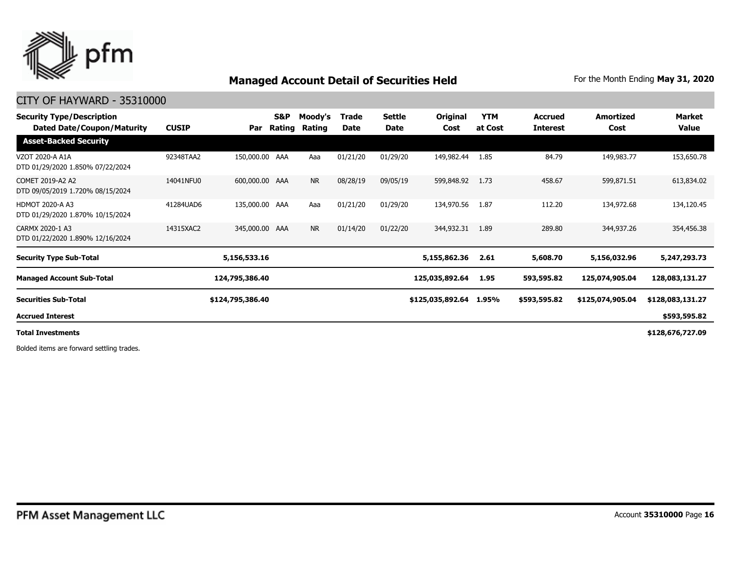

#### CITY OF HAYWARD - 35310000

| <b>Security Type/Description</b><br>Dated Date/Coupon/Maturity | <b>CUSIP</b> | Par              | S&P<br>Rating | Moody's<br>Rating | <b>Trade</b><br>Date | <b>Settle</b><br>Date | Original<br>Cost | <b>YTM</b><br>at Cost | <b>Accrued</b><br><b>Interest</b> | <b>Amortized</b><br>Cost | Market<br>Value  |
|----------------------------------------------------------------|--------------|------------------|---------------|-------------------|----------------------|-----------------------|------------------|-----------------------|-----------------------------------|--------------------------|------------------|
| <b>Asset-Backed Security</b>                                   |              |                  |               |                   |                      |                       |                  |                       |                                   |                          |                  |
| VZOT 2020-A A1A<br>DTD 01/29/2020 1.850% 07/22/2024            | 92348TAA2    | 150,000.00 AAA   |               | Aaa               | 01/21/20             | 01/29/20              | 149,982.44       | 1.85                  | 84.79                             | 149,983.77               | 153,650.78       |
| COMET 2019-A2 A2<br>DTD 09/05/2019 1.720% 08/15/2024           | 14041NFU0    | 600,000.00 AAA   |               | <b>NR</b>         | 08/28/19             | 09/05/19              | 599,848.92       | 1.73                  | 458.67                            | 599,871.51               | 613,834.02       |
| <b>HDMOT 2020-A A3</b><br>DTD 01/29/2020 1.870% 10/15/2024     | 41284UAD6    | 135,000.00 AAA   |               | Aaa               | 01/21/20             | 01/29/20              | 134,970.56       | 1.87                  | 112.20                            | 134,972.68               | 134,120.45       |
| CARMX 2020-1 A3<br>DTD 01/22/2020 1.890% 12/16/2024            | 14315XAC2    | 345,000.00 AAA   |               | <b>NR</b>         | 01/14/20             | 01/22/20              | 344,932.31       | 1.89                  | 289.80                            | 344,937.26               | 354,456.38       |
| <b>Security Type Sub-Total</b>                                 |              | 5,156,533.16     |               |                   |                      |                       | 5,155,862.36     | 2.61                  | 5,608.70                          | 5,156,032.96             | 5,247,293.73     |
| <b>Managed Account Sub-Total</b>                               |              | 124,795,386.40   |               |                   |                      |                       | 125,035,892.64   | 1.95                  | 593,595.82                        | 125,074,905.04           | 128,083,131.27   |
| <b>Securities Sub-Total</b>                                    |              | \$124,795,386.40 |               |                   |                      |                       | \$125,035,892.64 | 1.95%                 | \$593,595.82                      | \$125,074,905.04         | \$128,083,131.27 |
| <b>Accrued Interest</b>                                        |              |                  |               |                   |                      |                       |                  |                       |                                   |                          | \$593,595.82     |
| <b>Total Investments</b>                                       |              |                  |               |                   |                      |                       |                  |                       |                                   |                          | \$128,676,727.09 |

Bolded items are forward settling trades.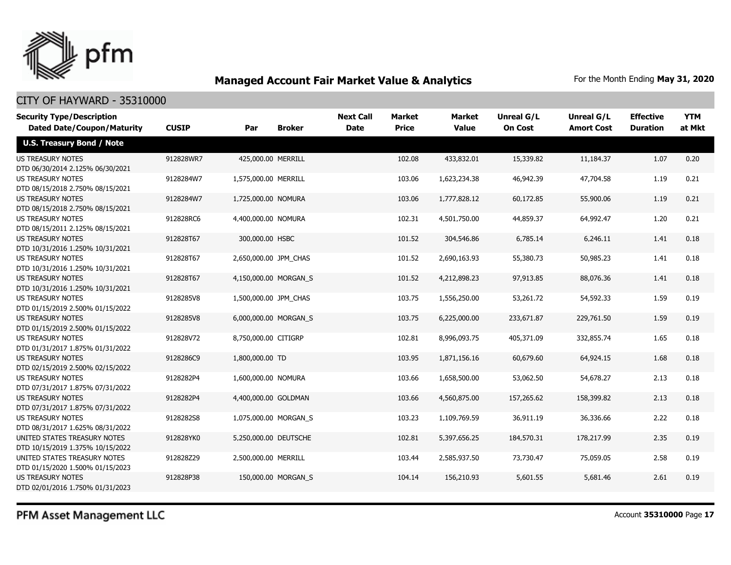

### CITY OF HAYWARD - 35310000

| <b>Security Type/Description</b><br><b>Dated Date/Coupon/Maturity</b> | <b>CUSIP</b> | Par                   | <b>Broker</b>       | <b>Next Call</b><br><b>Date</b> | <b>Market</b><br><b>Price</b> | <b>Market</b><br><b>Value</b> | <b>Unreal G/L</b><br><b>On Cost</b> | Unreal G/L<br><b>Amort Cost</b> | <b>Effective</b><br><b>Duration</b> | <b>YTM</b><br>at Mkt |
|-----------------------------------------------------------------------|--------------|-----------------------|---------------------|---------------------------------|-------------------------------|-------------------------------|-------------------------------------|---------------------------------|-------------------------------------|----------------------|
| <b>U.S. Treasury Bond / Note</b>                                      |              |                       |                     |                                 |                               |                               |                                     |                                 |                                     |                      |
| <b>US TREASURY NOTES</b><br>DTD 06/30/2014 2.125% 06/30/2021          | 912828WR7    | 425,000.00 MERRILL    |                     |                                 | 102.08                        | 433,832.01                    | 15,339.82                           | 11,184.37                       | 1.07                                | 0.20                 |
| <b>US TREASURY NOTES</b><br>DTD 08/15/2018 2.750% 08/15/2021          | 9128284W7    | 1,575,000.00 MERRILL  |                     |                                 | 103.06                        | 1,623,234.38                  | 46,942.39                           | 47,704.58                       | 1.19                                | 0.21                 |
| US TREASURY NOTES<br>DTD 08/15/2018 2.750% 08/15/2021                 | 9128284W7    | 1,725,000.00 NOMURA   |                     |                                 | 103.06                        | 1,777,828.12                  | 60,172.85                           | 55,900.06                       | 1.19                                | 0.21                 |
| <b>US TREASURY NOTES</b><br>DTD 08/15/2011 2.125% 08/15/2021          | 912828RC6    | 4,400,000.00 NOMURA   |                     |                                 | 102.31                        | 4,501,750.00                  | 44,859.37                           | 64,992.47                       | 1.20                                | 0.21                 |
| <b>US TREASURY NOTES</b><br>DTD 10/31/2016 1.250% 10/31/2021          | 912828T67    | 300,000.00 HSBC       |                     |                                 | 101.52                        | 304,546.86                    | 6,785.14                            | 6,246.11                        | 1.41                                | 0.18                 |
| <b>US TREASURY NOTES</b><br>DTD 10/31/2016 1.250% 10/31/2021          | 912828T67    | 2,650,000.00 JPM CHAS |                     |                                 | 101.52                        | 2,690,163.93                  | 55,380.73                           | 50,985.23                       | 1.41                                | 0.18                 |
| <b>US TREASURY NOTES</b><br>DTD 10/31/2016 1.250% 10/31/2021          | 912828T67    | 4,150,000.00 MORGAN S |                     |                                 | 101.52                        | 4,212,898.23                  | 97,913.85                           | 88,076.36                       | 1.41                                | 0.18                 |
| <b>US TREASURY NOTES</b><br>DTD 01/15/2019 2.500% 01/15/2022          | 9128285V8    | 1,500,000.00 JPM CHAS |                     |                                 | 103.75                        | 1,556,250.00                  | 53,261.72                           | 54,592.33                       | 1.59                                | 0.19                 |
| <b>US TREASURY NOTES</b><br>DTD 01/15/2019 2.500% 01/15/2022          | 9128285V8    | 6,000,000.00 MORGAN S |                     |                                 | 103.75                        | 6,225,000.00                  | 233,671.87                          | 229,761.50                      | 1.59                                | 0.19                 |
| <b>US TREASURY NOTES</b><br>DTD 01/31/2017 1.875% 01/31/2022          | 912828V72    | 8,750,000.00 CITIGRP  |                     |                                 | 102.81                        | 8,996,093.75                  | 405,371.09                          | 332,855.74                      | 1.65                                | 0.18                 |
| <b>US TREASURY NOTES</b><br>DTD 02/15/2019 2.500% 02/15/2022          | 9128286C9    | 1,800,000.00 TD       |                     |                                 | 103.95                        | 1,871,156.16                  | 60,679.60                           | 64,924.15                       | 1.68                                | 0.18                 |
| <b>US TREASURY NOTES</b><br>DTD 07/31/2017 1.875% 07/31/2022          | 9128282P4    | 1,600,000.00 NOMURA   |                     |                                 | 103.66                        | 1,658,500.00                  | 53,062.50                           | 54,678.27                       | 2.13                                | 0.18                 |
| <b>US TREASURY NOTES</b><br>DTD 07/31/2017 1.875% 07/31/2022          | 9128282P4    | 4,400,000.00 GOLDMAN  |                     |                                 | 103.66                        | 4,560,875.00                  | 157,265.62                          | 158,399.82                      | 2.13                                | 0.18                 |
| <b>US TREASURY NOTES</b><br>DTD 08/31/2017 1.625% 08/31/2022          | 9128282S8    | 1,075,000.00 MORGAN S |                     |                                 | 103.23                        | 1,109,769.59                  | 36,911.19                           | 36,336.66                       | 2.22                                | 0.18                 |
| UNITED STATES TREASURY NOTES<br>DTD 10/15/2019 1.375% 10/15/2022      | 912828YK0    | 5,250,000.00 DEUTSCHE |                     |                                 | 102.81                        | 5,397,656.25                  | 184,570.31                          | 178,217.99                      | 2.35                                | 0.19                 |
| UNITED STATES TREASURY NOTES<br>DTD 01/15/2020 1.500% 01/15/2023      | 912828Z29    | 2,500,000.00 MERRILL  |                     |                                 | 103.44                        | 2,585,937.50                  | 73,730.47                           | 75,059.05                       | 2.58                                | 0.19                 |
| <b>US TREASURY NOTES</b><br>DTD 02/01/2016 1.750% 01/31/2023          | 912828P38    |                       | 150,000.00 MORGAN S |                                 | 104.14                        | 156,210.93                    | 5,601.55                            | 5,681.46                        | 2.61                                | 0.19                 |

PFM Asset Management LLC

Account **35310000** Page **17**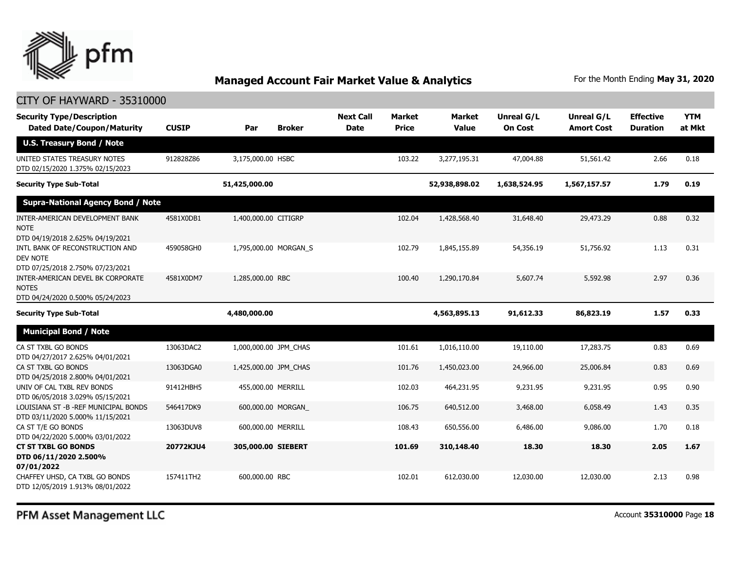

| <b>Security Type/Description</b><br><b>Dated Date/Coupon/Maturity</b>                 | <b>CUSIP</b> | Par                   | <b>Broker</b>         | <b>Next Call</b><br><b>Date</b> | <b>Market</b><br><b>Price</b> | <b>Market</b><br><b>Value</b> | <b>Unreal G/L</b><br><b>On Cost</b> | Unreal G/L<br><b>Amort Cost</b> | <b>Effective</b><br><b>Duration</b> | <b>YTM</b><br>at Mkt |
|---------------------------------------------------------------------------------------|--------------|-----------------------|-----------------------|---------------------------------|-------------------------------|-------------------------------|-------------------------------------|---------------------------------|-------------------------------------|----------------------|
| <b>U.S. Treasury Bond / Note</b>                                                      |              |                       |                       |                                 |                               |                               |                                     |                                 |                                     |                      |
| UNITED STATES TREASURY NOTES<br>DTD 02/15/2020 1.375% 02/15/2023                      | 912828Z86    | 3,175,000.00 HSBC     |                       |                                 | 103.22                        | 3,277,195.31                  | 47,004.88                           | 51,561.42                       | 2.66                                | 0.18                 |
| <b>Security Type Sub-Total</b>                                                        |              | 51,425,000.00         |                       |                                 |                               | 52,938,898.02                 | 1,638,524.95                        | 1,567,157.57                    | 1.79                                | 0.19                 |
| <b>Supra-National Agency Bond / Note</b>                                              |              |                       |                       |                                 |                               |                               |                                     |                                 |                                     |                      |
| INTER-AMERICAN DEVELOPMENT BANK<br><b>NOTE</b><br>DTD 04/19/2018 2.625% 04/19/2021    | 4581X0DB1    | 1,400,000.00 CITIGRP  |                       |                                 | 102.04                        | 1,428,568.40                  | 31,648.40                           | 29,473.29                       | 0.88                                | 0.32                 |
| INTL BANK OF RECONSTRUCTION AND<br>DEV NOTE<br>DTD 07/25/2018 2.750% 07/23/2021       | 459058GH0    |                       | 1,795,000.00 MORGAN_S |                                 | 102.79                        | 1,845,155.89                  | 54,356.19                           | 51,756.92                       | 1.13                                | 0.31                 |
| INTER-AMERICAN DEVEL BK CORPORATE<br><b>NOTES</b><br>DTD 04/24/2020 0.500% 05/24/2023 | 4581X0DM7    | 1,285,000.00 RBC      |                       |                                 | 100.40                        | 1,290,170.84                  | 5,607.74                            | 5,592.98                        | 2.97                                | 0.36                 |
| <b>Security Type Sub-Total</b>                                                        |              | 4,480,000.00          |                       |                                 |                               | 4,563,895.13                  | 91,612.33                           | 86,823.19                       | 1.57                                | 0.33                 |
| <b>Municipal Bond / Note</b>                                                          |              |                       |                       |                                 |                               |                               |                                     |                                 |                                     |                      |
| CA ST TXBL GO BONDS<br>DTD 04/27/2017 2.625% 04/01/2021                               | 13063DAC2    | 1,000,000.00 JPM_CHAS |                       |                                 | 101.61                        | 1,016,110.00                  | 19,110.00                           | 17,283.75                       | 0.83                                | 0.69                 |
| CA ST TXBL GO BONDS<br>DTD 04/25/2018 2.800% 04/01/2021                               | 13063DGA0    | 1,425,000.00 JPM_CHAS |                       |                                 | 101.76                        | 1,450,023.00                  | 24,966.00                           | 25,006.84                       | 0.83                                | 0.69                 |
| UNIV OF CAL TXBL REV BONDS<br>DTD 06/05/2018 3.029% 05/15/2021                        | 91412HBH5    | 455,000.00 MERRILL    |                       |                                 | 102.03                        | 464,231.95                    | 9,231.95                            | 9,231.95                        | 0.95                                | 0.90                 |
| LOUISIANA ST - B - REF MUNICIPAL BONDS<br>DTD 03/11/2020 5.000% 11/15/2021            | 546417DK9    |                       | 600,000.00 MORGAN     |                                 | 106.75                        | 640,512.00                    | 3,468.00                            | 6,058.49                        | 1.43                                | 0.35                 |
| CA ST T/E GO BONDS<br>DTD 04/22/2020 5.000% 03/01/2022                                | 13063DUV8    | 600,000.00 MERRILL    |                       |                                 | 108.43                        | 650,556.00                    | 6,486.00                            | 9,086.00                        | 1.70                                | 0.18                 |
| <b>CT ST TXBL GO BONDS</b><br>DTD 06/11/2020 2.500%<br>07/01/2022                     | 20772KJU4    | 305,000.00 SIEBERT    |                       |                                 | 101.69                        | 310,148.40                    | 18.30                               | 18.30                           | 2.05                                | 1.67                 |
| CHAFFEY UHSD, CA TXBL GO BONDS<br>DTD 12/05/2019 1.913% 08/01/2022                    | 157411TH2    | 600,000,00 RBC        |                       |                                 | 102.01                        | 612,030.00                    | 12,030.00                           | 12,030.00                       | 2.13                                | 0.98                 |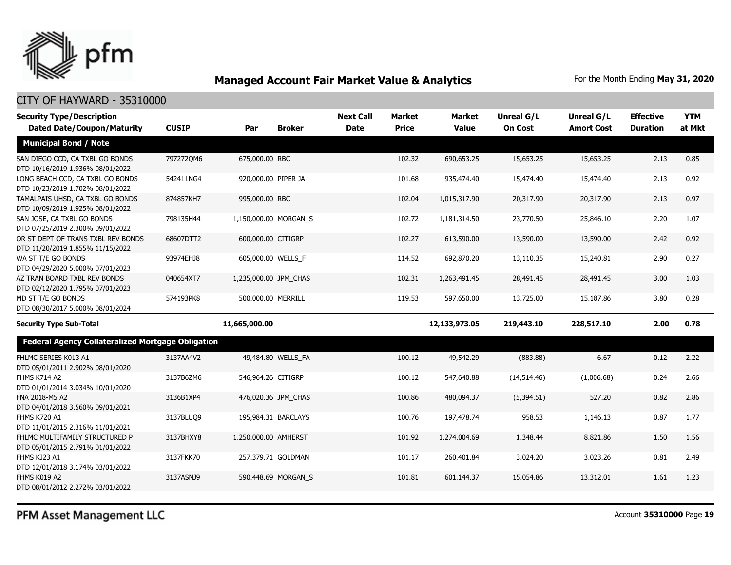

| <b>Security Type/Description</b><br><b>Dated Date/Coupon/Maturity</b>  | <b>CUSIP</b> | Par                   | <b>Broker</b>       | <b>Next Call</b><br><b>Date</b> | <b>Market</b><br><b>Price</b> | <b>Market</b><br><b>Value</b> | Unreal G/L<br><b>On Cost</b> | Unreal G/L<br><b>Amort Cost</b> | <b>Effective</b><br><b>Duration</b> | <b>YTM</b><br>at Mkt |
|------------------------------------------------------------------------|--------------|-----------------------|---------------------|---------------------------------|-------------------------------|-------------------------------|------------------------------|---------------------------------|-------------------------------------|----------------------|
| <b>Municipal Bond / Note</b>                                           |              |                       |                     |                                 |                               |                               |                              |                                 |                                     |                      |
| SAN DIEGO CCD, CA TXBL GO BONDS<br>DTD 10/16/2019 1.936% 08/01/2022    | 7972720M6    | 675,000.00 RBC        |                     |                                 | 102.32                        | 690,653.25                    | 15,653.25                    | 15,653.25                       | 2.13                                | 0.85                 |
| LONG BEACH CCD, CA TXBL GO BONDS<br>DTD 10/23/2019 1.702% 08/01/2022   | 542411NG4    | 920,000.00 PIPER JA   |                     |                                 | 101.68                        | 935,474.40                    | 15,474.40                    | 15,474.40                       | 2.13                                | 0.92                 |
| TAMALPAIS UHSD, CA TXBL GO BONDS<br>DTD 10/09/2019 1.925% 08/01/2022   | 874857KH7    | 995,000.00 RBC        |                     |                                 | 102.04                        | 1,015,317.90                  | 20,317.90                    | 20,317.90                       | 2.13                                | 0.97                 |
| SAN JOSE, CA TXBL GO BONDS<br>DTD 07/25/2019 2.300% 09/01/2022         | 798135H44    | 1,150,000.00 MORGAN_S |                     |                                 | 102.72                        | 1,181,314.50                  | 23,770.50                    | 25,846.10                       | 2.20                                | 1.07                 |
| OR ST DEPT OF TRANS TXBL REV BONDS<br>DTD 11/20/2019 1.855% 11/15/2022 | 68607DTT2    | 600,000.00 CITIGRP    |                     |                                 | 102.27                        | 613,590.00                    | 13,590.00                    | 13,590.00                       | 2.42                                | 0.92                 |
| WA ST T/E GO BONDS<br>DTD 04/29/2020 5.000% 07/01/2023                 | 93974EHJ8    | 605,000.00 WELLS_F    |                     |                                 | 114.52                        | 692,870.20                    | 13,110.35                    | 15,240.81                       | 2.90                                | 0.27                 |
| AZ TRAN BOARD TXBL REV BONDS<br>DTD 02/12/2020 1.795% 07/01/2023       | 040654XT7    | 1,235,000.00 JPM CHAS |                     |                                 | 102.31                        | 1,263,491.45                  | 28,491.45                    | 28,491.45                       | 3.00                                | 1.03                 |
| MD ST T/E GO BONDS<br>DTD 08/30/2017 5.000% 08/01/2024                 | 574193PK8    | 500,000.00 MERRILL    |                     |                                 | 119.53                        | 597,650.00                    | 13,725.00                    | 15,187.86                       | 3.80                                | 0.28                 |
| <b>Security Type Sub-Total</b>                                         |              | 11,665,000.00         |                     |                                 |                               | 12,133,973.05                 | 219,443.10                   | 228,517.10                      | 2.00                                | 0.78                 |
| <b>Federal Agency Collateralized Mortgage Obligation</b>               |              |                       |                     |                                 |                               |                               |                              |                                 |                                     |                      |
| FHLMC SERIES K013 A1<br>DTD 05/01/2011 2.902% 08/01/2020               | 3137AA4V2    |                       | 49,484.80 WELLS FA  |                                 | 100.12                        | 49,542.29                     | (883.88)                     | 6.67                            | 0.12                                | 2.22                 |
| <b>FHMS K714 A2</b><br>DTD 01/01/2014 3.034% 10/01/2020                | 3137B6ZM6    | 546,964.26 CITIGRP    |                     |                                 | 100.12                        | 547,640.88                    | (14,514.46)                  | (1,006.68)                      | 0.24                                | 2.66                 |
| FNA 2018-M5 A2<br>DTD 04/01/2018 3.560% 09/01/2021                     | 3136B1XP4    |                       | 476,020.36 JPM_CHAS |                                 | 100.86                        | 480,094.37                    | (5,394.51)                   | 527.20                          | 0.82                                | 2.86                 |
| <b>FHMS K720 A1</b><br>DTD 11/01/2015 2.316% 11/01/2021                | 3137BLUQ9    |                       | 195,984.31 BARCLAYS |                                 | 100.76                        | 197,478.74                    | 958.53                       | 1,146.13                        | 0.87                                | 1.77                 |
| FHLMC MULTIFAMILY STRUCTURED P<br>DTD 05/01/2015 2.791% 01/01/2022     | 3137BHXY8    | 1,250,000.00 AMHERST  |                     |                                 | 101.92                        | 1,274,004.69                  | 1,348.44                     | 8,821.86                        | 1.50                                | 1.56                 |
| FHMS KJ23 A1<br>DTD 12/01/2018 3.174% 03/01/2022                       | 3137FKK70    |                       | 257,379.71 GOLDMAN  |                                 | 101.17                        | 260,401.84                    | 3,024.20                     | 3,023.26                        | 0.81                                | 2.49                 |
| FHMS K019 A2<br>DTD 08/01/2012 2.272% 03/01/2022                       | 3137ASNJ9    |                       | 590,448.69 MORGAN_S |                                 | 101.81                        | 601,144.37                    | 15,054.86                    | 13,312.01                       | 1.61                                | 1.23                 |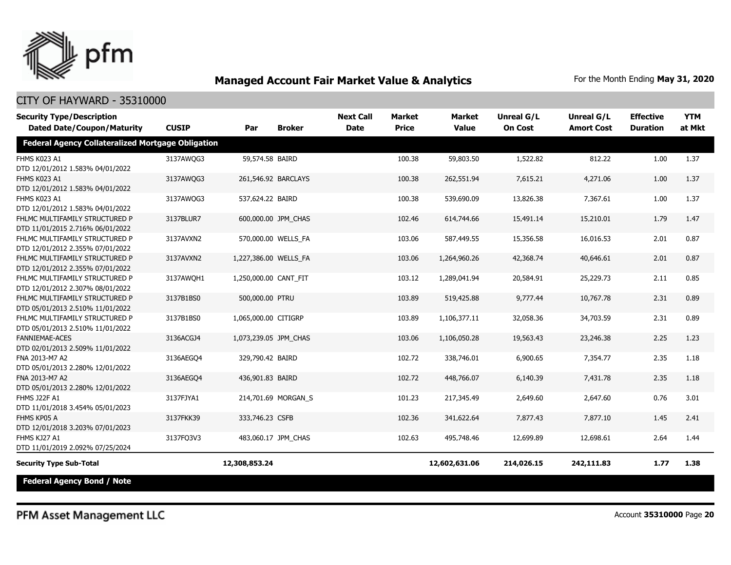

### CITY OF HAYWARD - 35310000

| <b>Security Type/Description</b><br><b>Dated Date/Coupon/Maturity</b> | <b>CUSIP</b> | Par                   | <b>Broker</b>       | <b>Next Call</b><br><b>Date</b> | <b>Market</b><br><b>Price</b> | <b>Market</b><br><b>Value</b> | Unreal G/L<br><b>On Cost</b> | <b>Unreal G/L</b><br><b>Amort Cost</b> | <b>Effective</b><br><b>Duration</b> | <b>YTM</b><br>at Mkt |
|-----------------------------------------------------------------------|--------------|-----------------------|---------------------|---------------------------------|-------------------------------|-------------------------------|------------------------------|----------------------------------------|-------------------------------------|----------------------|
| Federal Agency Collateralized Mortgage Obligation                     |              |                       |                     |                                 |                               |                               |                              |                                        |                                     |                      |
| FHMS K023 A1<br>DTD 12/01/2012 1.583% 04/01/2022                      | 3137AWQG3    | 59,574.58 BAIRD       |                     |                                 | 100.38                        | 59,803.50                     | 1,522.82                     | 812.22                                 | 1.00                                | 1.37                 |
| FHMS K023 A1<br>DTD 12/01/2012 1.583% 04/01/2022                      | 3137AWQG3    |                       | 261,546.92 BARCLAYS |                                 | 100.38                        | 262,551.94                    | 7,615.21                     | 4,271.06                               | 1.00                                | 1.37                 |
| FHMS K023 A1<br>DTD 12/01/2012 1.583% 04/01/2022                      | 3137AWQG3    | 537,624.22 BAIRD      |                     |                                 | 100.38                        | 539,690.09                    | 13,826.38                    | 7,367.61                               | 1.00                                | 1.37                 |
| FHLMC MULTIFAMILY STRUCTURED P<br>DTD 11/01/2015 2.716% 06/01/2022    | 3137BLUR7    |                       | 600,000.00 JPM CHAS |                                 | 102.46                        | 614,744.66                    | 15,491.14                    | 15,210.01                              | 1.79                                | 1.47                 |
| FHLMC MULTIFAMILY STRUCTURED P<br>DTD 12/01/2012 2.355% 07/01/2022    | 3137AVXN2    |                       | 570,000.00 WELLS_FA |                                 | 103.06                        | 587,449.55                    | 15,356.58                    | 16,016.53                              | 2.01                                | 0.87                 |
| FHLMC MULTIFAMILY STRUCTURED P<br>DTD 12/01/2012 2.355% 07/01/2022    | 3137AVXN2    | 1,227,386.00 WELLS_FA |                     |                                 | 103.06                        | 1,264,960.26                  | 42,368.74                    | 40,646.61                              | 2.01                                | 0.87                 |
| FHLMC MULTIFAMILY STRUCTURED P<br>DTD 12/01/2012 2.307% 08/01/2022    | 3137AWQH1    | 1,250,000.00 CANT_FIT |                     |                                 | 103.12                        | 1,289,041.94                  | 20,584.91                    | 25,229.73                              | 2.11                                | 0.85                 |
| FHLMC MULTIFAMILY STRUCTURED P<br>DTD 05/01/2013 2.510% 11/01/2022    | 3137B1BS0    | 500,000.00 PTRU       |                     |                                 | 103.89                        | 519,425.88                    | 9,777.44                     | 10,767.78                              | 2.31                                | 0.89                 |
| FHLMC MULTIFAMILY STRUCTURED P<br>DTD 05/01/2013 2.510% 11/01/2022    | 3137B1BS0    | 1,065,000.00 CITIGRP  |                     |                                 | 103.89                        | 1,106,377.11                  | 32,058.36                    | 34,703.59                              | 2.31                                | 0.89                 |
| <b>FANNIEMAE-ACES</b><br>DTD 02/01/2013 2.509% 11/01/2022             | 3136ACGJ4    | 1,073,239.05 JPM_CHAS |                     |                                 | 103.06                        | 1,106,050.28                  | 19,563.43                    | 23,246.38                              | 2.25                                | 1.23                 |
| FNA 2013-M7 A2<br>DTD 05/01/2013 2.280% 12/01/2022                    | 3136AEGO4    | 329,790.42 BAIRD      |                     |                                 | 102.72                        | 338,746.01                    | 6,900.65                     | 7,354.77                               | 2.35                                | 1.18                 |
| FNA 2013-M7 A2<br>DTD 05/01/2013 2.280% 12/01/2022                    | 3136AEGO4    | 436,901.83 BAIRD      |                     |                                 | 102.72                        | 448,766.07                    | 6,140.39                     | 7,431.78                               | 2.35                                | 1.18                 |
| <b>FHMS J22F A1</b><br>DTD 11/01/2018 3.454% 05/01/2023               | 3137FJYA1    |                       | 214,701.69 MORGAN S |                                 | 101.23                        | 217,345,49                    | 2,649.60                     | 2,647.60                               | 0.76                                | 3.01                 |
| FHMS KP05 A<br>DTD 12/01/2018 3.203% 07/01/2023                       | 3137FKK39    | 333,746.23 CSFB       |                     |                                 | 102.36                        | 341,622.64                    | 7,877.43                     | 7,877.10                               | 1.45                                | 2.41                 |
| FHMS KJ27 A1<br>DTD 11/01/2019 2.092% 07/25/2024                      | 3137FQ3V3    |                       | 483,060.17 JPM CHAS |                                 | 102.63                        | 495,748.46                    | 12,699.89                    | 12,698.61                              | 2.64                                | 1.44                 |
| <b>Security Type Sub-Total</b>                                        |              | 12,308,853.24         |                     |                                 |                               | 12,602,631.06                 | 214,026.15                   | 242,111.83                             | 1.77                                | 1.38                 |
| <b>Federal Agency Bond / Note</b>                                     |              |                       |                     |                                 |                               |                               |                              |                                        |                                     |                      |

PFM Asset Management LLC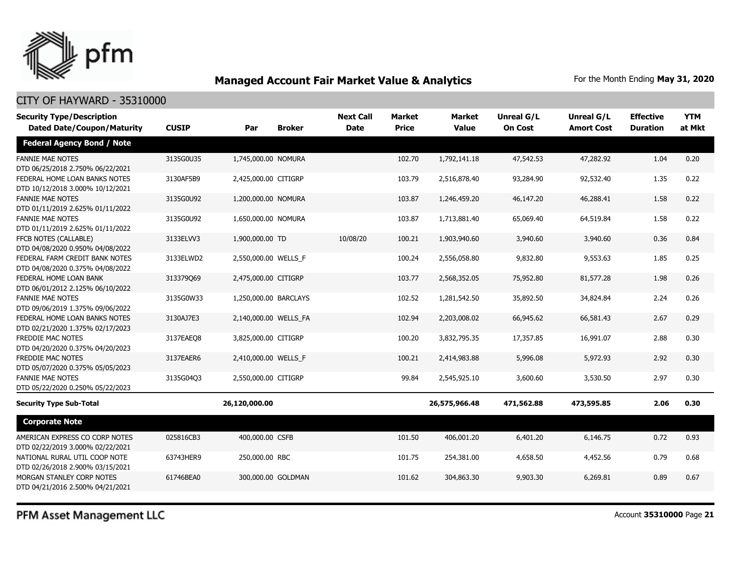

#### CITY OF HAYWARD - 35310000

| <b>Security Type/Description</b>                                   |              |                       |                    | <b>Next Call</b> | Market       | <b>Market</b> | Unreal G/L     | Unreal G/L        | <b>Effective</b> | <b>YTM</b> |
|--------------------------------------------------------------------|--------------|-----------------------|--------------------|------------------|--------------|---------------|----------------|-------------------|------------------|------------|
| <b>Dated Date/Coupon/Maturity</b>                                  | <b>CUSIP</b> | Par                   | <b>Broker</b>      | <b>Date</b>      | <b>Price</b> | <b>Value</b>  | <b>On Cost</b> | <b>Amort Cost</b> | <b>Duration</b>  | at Mkt     |
| <b>Federal Agency Bond / Note</b>                                  |              |                       |                    |                  |              |               |                |                   |                  |            |
| <b>FANNIE MAE NOTES</b><br>DTD 06/25/2018 2.750% 06/22/2021        | 3135G0U35    | 1,745,000.00 NOMURA   |                    |                  | 102.70       | 1,792,141.18  | 47,542.53      | 47,282.92         | 1.04             | 0.20       |
| FEDERAL HOME LOAN BANKS NOTES<br>DTD 10/12/2018 3.000% 10/12/2021  | 3130AF5B9    | 2,425,000.00 CITIGRP  |                    |                  | 103.79       | 2,516,878.40  | 93,284.90      | 92,532.40         | 1.35             | 0.22       |
| <b>FANNIE MAE NOTES</b><br>DTD 01/11/2019 2.625% 01/11/2022        | 3135G0U92    | 1,200,000.00 NOMURA   |                    |                  | 103.87       | 1,246,459.20  | 46,147.20      | 46,288.41         | 1.58             | 0.22       |
| <b>FANNIE MAE NOTES</b><br>DTD 01/11/2019 2.625% 01/11/2022        | 3135G0U92    | 1,650,000.00 NOMURA   |                    |                  | 103.87       | 1,713,881.40  | 65,069.40      | 64,519.84         | 1.58             | 0.22       |
| FFCB NOTES (CALLABLE)<br>DTD 04/08/2020 0.950% 04/08/2022          | 3133ELVV3    | 1,900,000.00 TD       |                    | 10/08/20         | 100.21       | 1,903,940.60  | 3,940.60       | 3,940.60          | 0.36             | 0.84       |
| FEDERAL FARM CREDIT BANK NOTES<br>DTD 04/08/2020 0.375% 04/08/2022 | 3133ELWD2    | 2,550,000.00 WELLS F  |                    |                  | 100.24       | 2,556,058.80  | 9,832.80       | 9,553.63          | 1.85             | 0.25       |
| FEDERAL HOME LOAN BANK<br>DTD 06/01/2012 2.125% 06/10/2022         | 313379069    | 2,475,000.00 CITIGRP  |                    |                  | 103.77       | 2,568,352.05  | 75,952.80      | 81,577.28         | 1.98             | 0.26       |
| <b>FANNIE MAE NOTES</b><br>DTD 09/06/2019 1.375% 09/06/2022        | 3135G0W33    | 1,250,000.00 BARCLAYS |                    |                  | 102.52       | 1,281,542.50  | 35,892.50      | 34,824.84         | 2.24             | 0.26       |
| FEDERAL HOME LOAN BANKS NOTES<br>DTD 02/21/2020 1.375% 02/17/2023  | 3130AJ7E3    | 2,140,000.00 WELLS_FA |                    |                  | 102.94       | 2,203,008.02  | 66,945.62      | 66,581.43         | 2.67             | 0.29       |
| <b>FREDDIE MAC NOTES</b><br>DTD 04/20/2020 0.375% 04/20/2023       | 3137EAEO8    | 3,825,000.00 CITIGRP  |                    |                  | 100.20       | 3,832,795.35  | 17,357.85      | 16,991.07         | 2.88             | 0.30       |
| <b>FREDDIE MAC NOTES</b><br>DTD 05/07/2020 0.375% 05/05/2023       | 3137EAER6    | 2,410,000.00 WELLS F  |                    |                  | 100.21       | 2,414,983.88  | 5,996.08       | 5,972.93          | 2.92             | 0.30       |
| <b>FANNIE MAE NOTES</b><br>DTD 05/22/2020 0.250% 05/22/2023        | 3135G04Q3    | 2,550,000.00 CITIGRP  |                    |                  | 99.84        | 2,545,925.10  | 3,600.60       | 3,530.50          | 2.97             | 0.30       |
| <b>Security Type Sub-Total</b>                                     |              | 26,120,000.00         |                    |                  |              | 26,575,966.48 | 471,562.88     | 473,595.85        | 2.06             | 0.30       |
| <b>Corporate Note</b>                                              |              |                       |                    |                  |              |               |                |                   |                  |            |
| AMERICAN EXPRESS CO CORP NOTES<br>DTD 02/22/2019 3.000% 02/22/2021 | 025816CB3    | 400,000.00 CSFB       |                    |                  | 101.50       | 406,001.20    | 6,401.20       | 6,146.75          | 0.72             | 0.93       |
| NATIONAL RURAL UTIL COOP NOTE<br>DTD 02/26/2018 2.900% 03/15/2021  | 63743HER9    | 250,000.00 RBC        |                    |                  | 101.75       | 254,381.00    | 4,658.50       | 4,452.56          | 0.79             | 0.68       |
| MORGAN STANLEY CORP NOTES<br>DTD 04/21/2016 2.500% 04/21/2021      | 61746BEA0    |                       | 300,000.00 GOLDMAN |                  | 101.62       | 304,863.30    | 9,903.30       | 6,269.81          | 0.89             | 0.67       |

PFM Asset Management LLC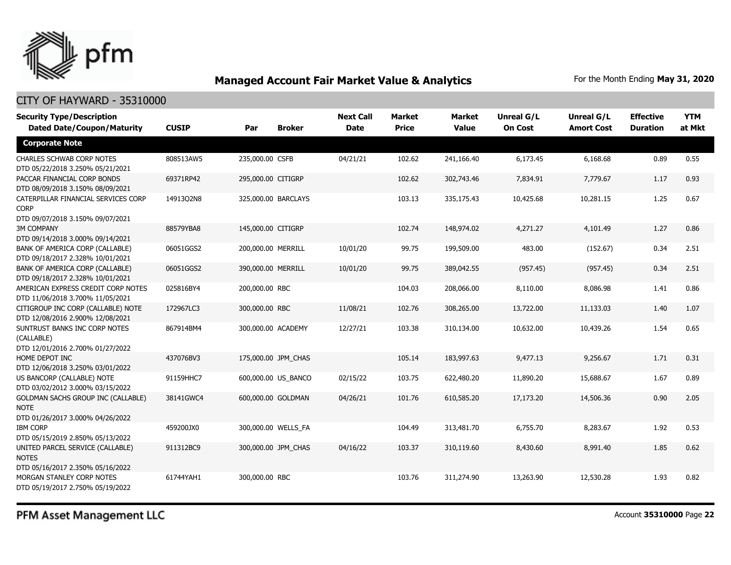

| <b>Security Type/Description</b><br><b>Dated Date/Coupon/Maturity</b>                  | <b>CUSIP</b> | Par                | <b>Broker</b>       | <b>Next Call</b><br><b>Date</b> | <b>Market</b><br><b>Price</b> | <b>Market</b><br>Value | <b>Unreal G/L</b><br><b>On Cost</b> | Unreal G/L<br><b>Amort Cost</b> | <b>Effective</b><br><b>Duration</b> | <b>YTM</b><br>at Mkt |
|----------------------------------------------------------------------------------------|--------------|--------------------|---------------------|---------------------------------|-------------------------------|------------------------|-------------------------------------|---------------------------------|-------------------------------------|----------------------|
| <b>Corporate Note</b>                                                                  |              |                    |                     |                                 |                               |                        |                                     |                                 |                                     |                      |
| <b>CHARLES SCHWAB CORP NOTES</b><br>DTD 05/22/2018 3.250% 05/21/2021                   | 808513AW5    | 235,000.00 CSFB    |                     | 04/21/21                        | 102.62                        | 241,166.40             | 6,173.45                            | 6,168.68                        | 0.89                                | 0.55                 |
| PACCAR FINANCIAL CORP BONDS<br>DTD 08/09/2018 3.150% 08/09/2021                        | 69371RP42    | 295,000.00 CITIGRP |                     |                                 | 102.62                        | 302,743.46             | 7,834.91                            | 7,779.67                        | 1.17                                | 0.93                 |
| CATERPILLAR FINANCIAL SERVICES CORP<br><b>CORP</b><br>DTD 09/07/2018 3.150% 09/07/2021 | 14913Q2N8    |                    | 325,000.00 BARCLAYS |                                 | 103.13                        | 335,175.43             | 10,425.68                           | 10,281.15                       | 1.25                                | 0.67                 |
| <b>3M COMPANY</b>                                                                      | 88579YBA8    | 145,000.00 CITIGRP |                     |                                 | 102.74                        | 148,974.02             | 4,271.27                            | 4,101.49                        | 1.27                                | 0.86                 |
| DTD 09/14/2018 3.000% 09/14/2021                                                       |              |                    |                     |                                 |                               |                        |                                     |                                 |                                     |                      |
| BANK OF AMERICA CORP (CALLABLE)                                                        | 06051GGS2    | 200,000.00 MERRILL |                     | 10/01/20                        | 99.75                         | 199,509.00             | 483.00                              | (152.67)                        | 0.34                                | 2.51                 |
| DTD 09/18/2017 2.328% 10/01/2021<br>BANK OF AMERICA CORP (CALLABLE)                    | 06051GGS2    | 390,000.00 MERRILL |                     | 10/01/20                        | 99.75                         | 389,042.55             | (957.45)                            | (957.45)                        | 0.34                                | 2.51                 |
| DTD 09/18/2017 2.328% 10/01/2021                                                       |              |                    |                     |                                 |                               |                        |                                     |                                 |                                     |                      |
| AMERICAN EXPRESS CREDIT CORP NOTES                                                     | 025816BY4    | 200,000.00 RBC     |                     |                                 | 104.03                        | 208,066.00             | 8,110.00                            | 8,086.98                        | 1.41                                | 0.86                 |
| DTD 11/06/2018 3.700% 11/05/2021                                                       |              |                    |                     |                                 |                               |                        |                                     |                                 |                                     |                      |
| CITIGROUP INC CORP (CALLABLE) NOTE                                                     | 172967LC3    | 300,000.00 RBC     |                     | 11/08/21                        | 102.76                        | 308,265.00             | 13,722.00                           | 11,133.03                       | 1.40                                | 1.07                 |
| DTD 12/08/2016 2.900% 12/08/2021                                                       |              |                    |                     |                                 |                               |                        |                                     |                                 |                                     |                      |
| SUNTRUST BANKS INC CORP NOTES<br>(CALLABLE)                                            | 867914BM4    |                    | 300,000.00 ACADEMY  | 12/27/21                        | 103.38                        | 310,134.00             | 10,632.00                           | 10,439.26                       | 1.54                                | 0.65                 |
| DTD 12/01/2016 2.700% 01/27/2022                                                       |              |                    |                     |                                 |                               |                        |                                     |                                 |                                     |                      |
| HOME DEPOT INC                                                                         | 437076BV3    |                    | 175,000.00 JPM CHAS |                                 | 105.14                        | 183,997.63             | 9,477.13                            | 9,256.67                        | 1.71                                | 0.31                 |
| DTD 12/06/2018 3.250% 03/01/2022                                                       |              |                    |                     |                                 |                               |                        |                                     |                                 |                                     |                      |
| US BANCORP (CALLABLE) NOTE                                                             | 91159HHC7    |                    | 600,000.00 US_BANCO | 02/15/22                        | 103.75                        | 622,480.20             | 11,890.20                           | 15,688.67                       | 1.67                                | 0.89                 |
| DTD 03/02/2012 3.000% 03/15/2022                                                       |              |                    |                     |                                 |                               |                        |                                     |                                 |                                     |                      |
| <b>GOLDMAN SACHS GROUP INC (CALLABLE)</b>                                              | 38141GWC4    |                    | 600,000.00 GOLDMAN  | 04/26/21                        | 101.76                        | 610,585.20             | 17,173.20                           | 14,506.36                       | 0.90                                | 2.05                 |
| <b>NOTE</b>                                                                            |              |                    |                     |                                 |                               |                        |                                     |                                 |                                     |                      |
| DTD 01/26/2017 3.000% 04/26/2022                                                       |              |                    |                     |                                 |                               |                        |                                     |                                 |                                     |                      |
| <b>IBM CORP</b>                                                                        | 459200JX0    |                    | 300,000.00 WELLS_FA |                                 | 104.49                        | 313,481.70             | 6,755.70                            | 8,283.67                        | 1.92                                | 0.53                 |
| DTD 05/15/2019 2.850% 05/13/2022                                                       |              |                    |                     |                                 |                               |                        |                                     |                                 |                                     |                      |
| UNITED PARCEL SERVICE (CALLABLE)                                                       | 911312BC9    |                    | 300,000.00 JPM CHAS | 04/16/22                        | 103.37                        | 310,119.60             | 8,430.60                            | 8,991.40                        | 1.85                                | 0.62                 |
| <b>NOTES</b>                                                                           |              |                    |                     |                                 |                               |                        |                                     |                                 |                                     |                      |
| DTD 05/16/2017 2.350% 05/16/2022<br>MORGAN STANLEY CORP NOTES                          | 61744YAH1    | 300,000.00 RBC     |                     |                                 | 103.76                        |                        |                                     | 12,530.28                       | 1.93                                |                      |
| DTD 05/19/2017 2.750% 05/19/2022                                                       |              |                    |                     |                                 |                               | 311,274.90             | 13,263.90                           |                                 |                                     | 0.82                 |
|                                                                                        |              |                    |                     |                                 |                               |                        |                                     |                                 |                                     |                      |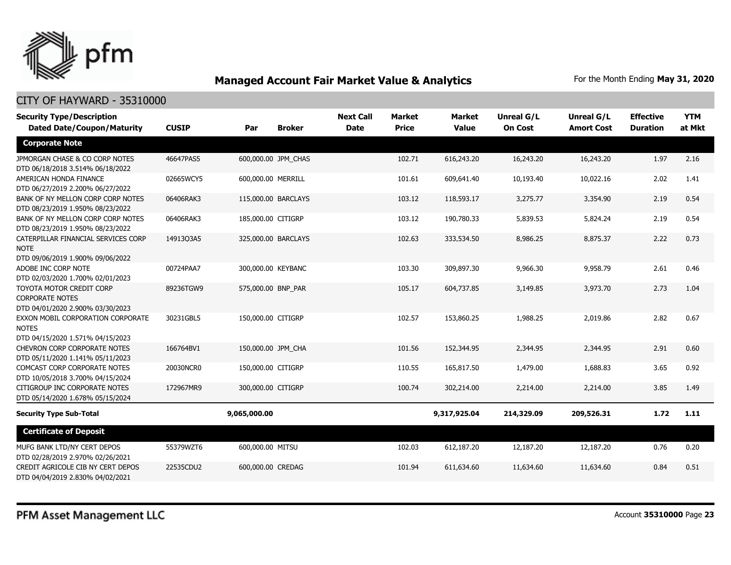

| <b>Security Type/Description</b>                                                            |              |                     | <b>Next Call</b>    | <b>Market</b> | <b>Market</b> | Unreal G/L   | <b>Unreal G/L</b> | <b>Effective</b>  | <b>YTM</b>      |        |
|---------------------------------------------------------------------------------------------|--------------|---------------------|---------------------|---------------|---------------|--------------|-------------------|-------------------|-----------------|--------|
| <b>Dated Date/Coupon/Maturity</b>                                                           | <b>CUSIP</b> | Par                 | <b>Broker</b>       | <b>Date</b>   | <b>Price</b>  | <b>Value</b> | <b>On Cost</b>    | <b>Amort Cost</b> | <b>Duration</b> | at Mkt |
| <b>Corporate Note</b>                                                                       |              |                     |                     |               |               |              |                   |                   |                 |        |
| JPMORGAN CHASE & CO CORP NOTES<br>DTD 06/18/2018 3.514% 06/18/2022                          | 46647PAS5    |                     | 600,000.00 JPM_CHAS |               | 102.71        | 616,243.20   | 16,243.20         | 16,243.20         | 1.97            | 2.16   |
| AMERICAN HONDA FINANCE<br>DTD 06/27/2019 2.200% 06/27/2022                                  | 02665WCY5    | 600,000.00 MERRILL  |                     |               | 101.61        | 609,641.40   | 10,193.40         | 10,022.16         | 2.02            | 1.41   |
| BANK OF NY MELLON CORP CORP NOTES<br>DTD 08/23/2019 1.950% 08/23/2022                       | 06406RAK3    | 115,000.00 BARCLAYS |                     |               | 103.12        | 118,593.17   | 3,275.77          | 3,354.90          | 2.19            | 0.54   |
| BANK OF NY MELLON CORP CORP NOTES<br>DTD 08/23/2019 1.950% 08/23/2022                       | 06406RAK3    | 185,000.00 CITIGRP  |                     |               | 103.12        | 190,780.33   | 5,839.53          | 5,824.24          | 2.19            | 0.54   |
| CATERPILLAR FINANCIAL SERVICES CORP<br><b>NOTE</b>                                          | 14913Q3A5    |                     | 325,000.00 BARCLAYS |               | 102.63        | 333,534.50   | 8,986.25          | 8,875.37          | 2.22            | 0.73   |
| DTD 09/06/2019 1.900% 09/06/2022<br>ADOBE INC CORP NOTE<br>DTD 02/03/2020 1.700% 02/01/2023 | 00724PAA7    | 300,000.00 KEYBANC  |                     |               | 103.30        | 309,897.30   | 9,966.30          | 9,958.79          | 2.61            | 0.46   |
| TOYOTA MOTOR CREDIT CORP<br><b>CORPORATE NOTES</b><br>DTD 04/01/2020 2.900% 03/30/2023      | 89236TGW9    | 575,000.00 BNP_PAR  |                     |               | 105.17        | 604,737.85   | 3,149.85          | 3,973.70          | 2.73            | 1.04   |
| EXXON MOBIL CORPORATION CORPORATE<br><b>NOTES</b><br>DTD 04/15/2020 1.571% 04/15/2023       | 30231GBL5    | 150,000.00 CITIGRP  |                     |               | 102.57        | 153,860.25   | 1,988.25          | 2,019.86          | 2.82            | 0.67   |
| <b>CHEVRON CORP CORPORATE NOTES</b><br>DTD 05/11/2020 1.141% 05/11/2023                     | 166764BV1    | 150,000.00 JPM CHA  |                     |               | 101.56        | 152,344.95   | 2,344.95          | 2,344.95          | 2.91            | 0.60   |
| COMCAST CORP CORPORATE NOTES<br>DTD 10/05/2018 3.700% 04/15/2024                            | 20030NCR0    | 150,000.00 CITIGRP  |                     |               | 110.55        | 165,817.50   | 1,479.00          | 1,688.83          | 3.65            | 0.92   |
| CITIGROUP INC CORPORATE NOTES<br>DTD 05/14/2020 1.678% 05/15/2024                           | 172967MR9    | 300,000.00 CITIGRP  |                     |               | 100.74        | 302,214.00   | 2,214.00          | 2,214.00          | 3.85            | 1.49   |
| <b>Security Type Sub-Total</b>                                                              |              | 9,065,000.00        |                     |               |               | 9,317,925.04 | 214,329.09        | 209,526.31        | 1.72            | 1.11   |
| <b>Certificate of Deposit</b>                                                               |              |                     |                     |               |               |              |                   |                   |                 |        |
| MUFG BANK LTD/NY CERT DEPOS<br>DTD 02/28/2019 2.970% 02/26/2021                             | 55379WZT6    | 600,000.00 MITSU    |                     |               | 102.03        | 612,187.20   | 12,187.20         | 12,187.20         | 0.76            | 0.20   |
| CREDIT AGRICOLE CIB NY CERT DEPOS<br>DTD 04/04/2019 2.830% 04/02/2021                       | 22535CDU2    | 600,000.00 CREDAG   |                     |               | 101.94        | 611,634.60   | 11,634.60         | 11,634.60         | 0.84            | 0.51   |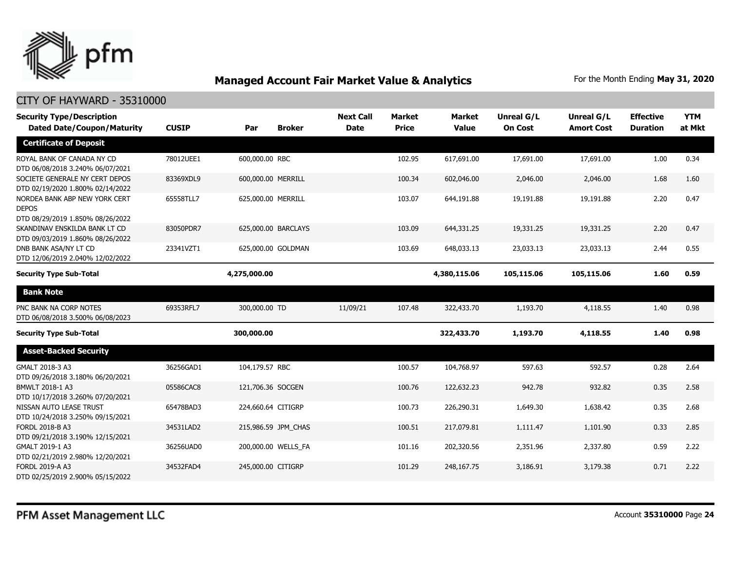

| <b>Security Type/Description</b><br><b>Dated Date/Coupon/Maturity</b>             | <b>CUSIP</b> | Par                | <b>Broker</b>       | <b>Next Call</b><br><b>Date</b> | <b>Market</b><br><b>Price</b> | <b>Market</b><br><b>Value</b> | <b>Unreal G/L</b><br><b>On Cost</b> | Unreal G/L<br><b>Amort Cost</b> | <b>Effective</b><br><b>Duration</b> | <b>YTM</b><br>at Mkt |
|-----------------------------------------------------------------------------------|--------------|--------------------|---------------------|---------------------------------|-------------------------------|-------------------------------|-------------------------------------|---------------------------------|-------------------------------------|----------------------|
|                                                                                   |              |                    |                     |                                 |                               |                               |                                     |                                 |                                     |                      |
| <b>Certificate of Deposit</b>                                                     |              |                    |                     |                                 |                               |                               |                                     |                                 |                                     |                      |
| ROYAL BANK OF CANADA NY CD<br>DTD 06/08/2018 3.240% 06/07/2021                    | 78012UEE1    | 600,000,00 RBC     |                     |                                 | 102.95                        | 617,691.00                    | 17,691.00                           | 17,691.00                       | 1.00                                | 0.34                 |
| SOCIETE GENERALE NY CERT DEPOS<br>DTD 02/19/2020 1.800% 02/14/2022                | 83369XDL9    | 600,000.00 MERRILL |                     |                                 | 100.34                        | 602,046.00                    | 2,046.00                            | 2,046.00                        | 1.68                                | 1.60                 |
| NORDEA BANK ABP NEW YORK CERT<br><b>DEPOS</b><br>DTD 08/29/2019 1.850% 08/26/2022 | 65558TLL7    | 625,000.00 MERRILL |                     |                                 | 103.07                        | 644,191.88                    | 19,191.88                           | 19,191.88                       | 2.20                                | 0.47                 |
| SKANDINAV ENSKILDA BANK LT CD<br>DTD 09/03/2019 1.860% 08/26/2022                 | 83050PDR7    |                    | 625,000.00 BARCLAYS |                                 | 103.09                        | 644,331.25                    | 19,331.25                           | 19,331.25                       | 2.20                                | 0.47                 |
| DNB BANK ASA/NY LT CD<br>DTD 12/06/2019 2.040% 12/02/2022                         | 23341VZT1    |                    | 625,000.00 GOLDMAN  |                                 | 103.69                        | 648,033.13                    | 23,033.13                           | 23,033.13                       | 2.44                                | 0.55                 |
| <b>Security Type Sub-Total</b>                                                    |              | 4,275,000.00       |                     |                                 |                               | 4,380,115.06                  | 105,115.06                          | 105,115.06                      | 1.60                                | 0.59                 |
| <b>Bank Note</b>                                                                  |              |                    |                     |                                 |                               |                               |                                     |                                 |                                     |                      |
| PNC BANK NA CORP NOTES<br>DTD 06/08/2018 3.500% 06/08/2023                        | 69353RFL7    | 300,000.00 TD      |                     | 11/09/21                        | 107.48                        | 322,433.70                    | 1,193.70                            | 4,118.55                        | 1.40                                | 0.98                 |
| <b>Security Type Sub-Total</b>                                                    |              | 300,000.00         |                     |                                 |                               | 322,433.70                    | 1,193.70                            | 4,118.55                        | 1.40                                | 0.98                 |
| <b>Asset-Backed Security</b>                                                      |              |                    |                     |                                 |                               |                               |                                     |                                 |                                     |                      |
| GMALT 2018-3 A3<br>DTD 09/26/2018 3.180% 06/20/2021                               | 36256GAD1    | 104,179.57 RBC     |                     |                                 | 100.57                        | 104,768.97                    | 597.63                              | 592.57                          | 0.28                                | 2.64                 |
| BMWLT 2018-1 A3<br>DTD 10/17/2018 3.260% 07/20/2021                               | 05586CAC8    | 121,706.36 SOCGEN  |                     |                                 | 100.76                        | 122,632.23                    | 942.78                              | 932.82                          | 0.35                                | 2.58                 |
| NISSAN AUTO LEASE TRUST<br>DTD 10/24/2018 3.250% 09/15/2021                       | 65478BAD3    | 224,660.64 CITIGRP |                     |                                 | 100.73                        | 226,290.31                    | 1,649.30                            | 1,638.42                        | 0.35                                | 2.68                 |
| <b>FORDL 2018-B A3</b><br>DTD 09/21/2018 3.190% 12/15/2021                        | 34531LAD2    |                    | 215,986.59 JPM_CHAS |                                 | 100.51                        | 217,079.81                    | 1,111.47                            | 1,101.90                        | 0.33                                | 2.85                 |
| GMALT 2019-1 A3<br>DTD 02/21/2019 2.980% 12/20/2021                               | 36256UAD0    |                    | 200,000.00 WELLS_FA |                                 | 101.16                        | 202,320.56                    | 2,351.96                            | 2,337.80                        | 0.59                                | 2.22                 |
| FORDL 2019-A A3<br>DTD 02/25/2019 2.900% 05/15/2022                               | 34532FAD4    | 245,000.00 CITIGRP |                     |                                 | 101.29                        | 248,167.75                    | 3,186.91                            | 3,179.38                        | 0.71                                | 2.22                 |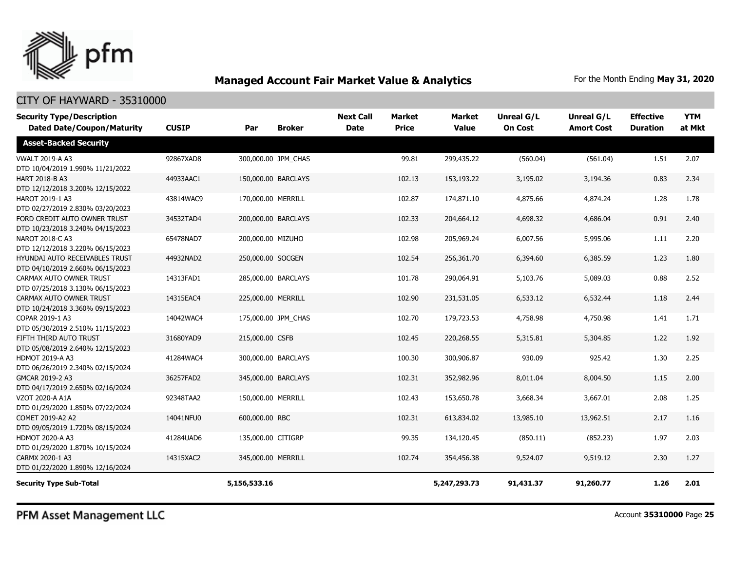

#### CITY OF HAYWARD - 35310000

| <b>Security Type/Description</b><br><b>Dated Date/Coupon/Maturity</b> | <b>CUSIP</b> | Par                | <b>Broker</b>       | <b>Next Call</b><br><b>Date</b> | <b>Market</b><br><b>Price</b> | <b>Market</b><br><b>Value</b> | <b>Unreal G/L</b><br><b>On Cost</b> | Unreal G/L<br><b>Amort Cost</b> | <b>Effective</b><br><b>Duration</b> | <b>YTM</b><br>at Mkt |
|-----------------------------------------------------------------------|--------------|--------------------|---------------------|---------------------------------|-------------------------------|-------------------------------|-------------------------------------|---------------------------------|-------------------------------------|----------------------|
| <b>Asset-Backed Security</b>                                          |              |                    |                     |                                 |                               |                               |                                     |                                 |                                     |                      |
| <b>VWALT 2019-A A3</b><br>DTD 10/04/2019 1.990% 11/21/2022            | 92867XAD8    |                    | 300,000.00 JPM CHAS |                                 | 99.81                         | 299,435.22                    | (560.04)                            | (561.04)                        | 1.51                                | 2.07                 |
| HART 2018-B A3<br>DTD 12/12/2018 3.200% 12/15/2022                    | 44933AAC1    |                    | 150,000.00 BARCLAYS |                                 | 102.13                        | 153,193.22                    | 3,195.02                            | 3,194.36                        | 0.83                                | 2.34                 |
| HAROT 2019-1 A3<br>DTD 02/27/2019 2.830% 03/20/2023                   | 43814WAC9    | 170,000.00 MERRILL |                     |                                 | 102.87                        | 174,871.10                    | 4,875.66                            | 4,874.24                        | 1.28                                | 1.78                 |
| FORD CREDIT AUTO OWNER TRUST<br>DTD 10/23/2018 3.240% 04/15/2023      | 34532TAD4    |                    | 200,000.00 BARCLAYS |                                 | 102.33                        | 204,664.12                    | 4,698.32                            | 4,686.04                        | 0.91                                | 2.40                 |
| NAROT 2018-C A3<br>DTD 12/12/2018 3.220% 06/15/2023                   | 65478NAD7    | 200,000.00 MIZUHO  |                     |                                 | 102.98                        | 205,969.24                    | 6,007.56                            | 5,995.06                        | 1.11                                | 2.20                 |
| HYUNDAI AUTO RECEIVABLES TRUST<br>DTD 04/10/2019 2.660% 06/15/2023    | 44932NAD2    | 250,000.00 SOCGEN  |                     |                                 | 102.54                        | 256,361.70                    | 6,394.60                            | 6,385.59                        | 1.23                                | 1.80                 |
| CARMAX AUTO OWNER TRUST<br>DTD 07/25/2018 3.130% 06/15/2023           | 14313FAD1    |                    | 285,000.00 BARCLAYS |                                 | 101.78                        | 290,064.91                    | 5,103.76                            | 5,089.03                        | 0.88                                | 2.52                 |
| CARMAX AUTO OWNER TRUST<br>DTD 10/24/2018 3.360% 09/15/2023           | 14315EAC4    | 225,000.00 MERRILL |                     |                                 | 102.90                        | 231,531.05                    | 6,533.12                            | 6,532.44                        | 1.18                                | 2.44                 |
| COPAR 2019-1 A3<br>DTD 05/30/2019 2.510% 11/15/2023                   | 14042WAC4    |                    | 175,000.00 JPM CHAS |                                 | 102.70                        | 179,723.53                    | 4,758.98                            | 4,750.98                        | 1.41                                | 1.71                 |
| FIFTH THIRD AUTO TRUST<br>DTD 05/08/2019 2.640% 12/15/2023            | 31680YAD9    | 215,000.00 CSFB    |                     |                                 | 102.45                        | 220,268.55                    | 5,315.81                            | 5,304.85                        | 1.22                                | 1.92                 |
| HDMOT 2019-A A3<br>DTD 06/26/2019 2.340% 02/15/2024                   | 41284WAC4    |                    | 300,000.00 BARCLAYS |                                 | 100.30                        | 300,906.87                    | 930.09                              | 925.42                          | 1.30                                | 2.25                 |
| GMCAR 2019-2 A3<br>DTD 04/17/2019 2.650% 02/16/2024                   | 36257FAD2    |                    | 345,000.00 BARCLAYS |                                 | 102.31                        | 352,982.96                    | 8,011.04                            | 8,004.50                        | 1.15                                | 2.00                 |
| VZOT 2020-A A1A<br>DTD 01/29/2020 1.850% 07/22/2024                   | 92348TAA2    | 150,000.00 MERRILL |                     |                                 | 102.43                        | 153,650.78                    | 3,668.34                            | 3,667.01                        | 2.08                                | 1.25                 |
| COMET 2019-A2 A2<br>DTD 09/05/2019 1.720% 08/15/2024                  | 14041NFU0    | 600,000.00 RBC     |                     |                                 | 102.31                        | 613,834.02                    | 13,985.10                           | 13,962.51                       | 2.17                                | 1.16                 |
| HDMOT 2020-A A3<br>DTD 01/29/2020 1.870% 10/15/2024                   | 41284UAD6    | 135,000.00 CITIGRP |                     |                                 | 99.35                         | 134,120.45                    | (850.11)                            | (852.23)                        | 1.97                                | 2.03                 |
| CARMX 2020-1 A3<br>DTD 01/22/2020 1.890% 12/16/2024                   | 14315XAC2    | 345,000.00 MERRILL |                     |                                 | 102.74                        | 354,456.38                    | 9,524.07                            | 9,519.12                        | 2.30                                | 1.27                 |
| <b>Security Type Sub-Total</b>                                        |              | 5,156,533.16       |                     |                                 |                               | 5,247,293.73                  | 91,431.37                           | 91,260.77                       | 1.26                                | 2.01                 |

PFM Asset Management LLC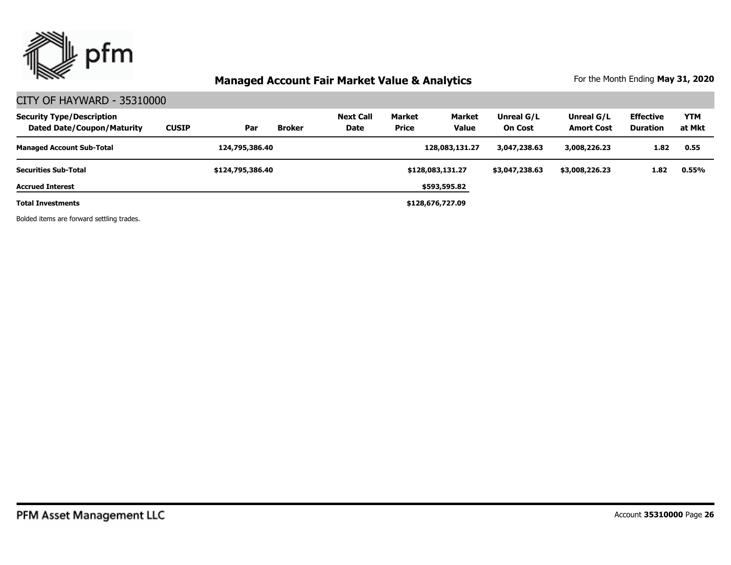

#### CITY OF HAYWARD - 35310000

| <b>Security Type/Description</b><br><b>Dated Date/Coupon/Maturity</b> | <b>CUSIP</b> | Par              | <b>Broker</b> | <b>Next Call</b><br>Date | Market<br>Price | Market<br><b>Value</b> | Unreal G/L<br><b>On Cost</b> | Unreal G/L<br><b>Amort Cost</b> | <b>Effective</b><br>Duration | <b>YTM</b><br>at Mkt |
|-----------------------------------------------------------------------|--------------|------------------|---------------|--------------------------|-----------------|------------------------|------------------------------|---------------------------------|------------------------------|----------------------|
| <b>Managed Account Sub-Total</b>                                      |              | 124,795,386.40   |               |                          |                 | 128,083,131.27         | 3,047,238.63                 | 3,008,226.23                    | 1.82                         | 0.55                 |
| <b>Securities Sub-Total</b>                                           |              | \$124,795,386.40 |               |                          |                 | \$128,083,131.27       | \$3,047,238.63               | \$3,008,226.23                  | 1.82                         | 0.55%                |
| <b>Accrued Interest</b>                                               |              |                  |               |                          |                 | \$593,595.82           |                              |                                 |                              |                      |
| Total Investments                                                     |              |                  |               |                          |                 | \$128,676,727.09       |                              |                                 |                              |                      |

Bolded items are forward settling trades.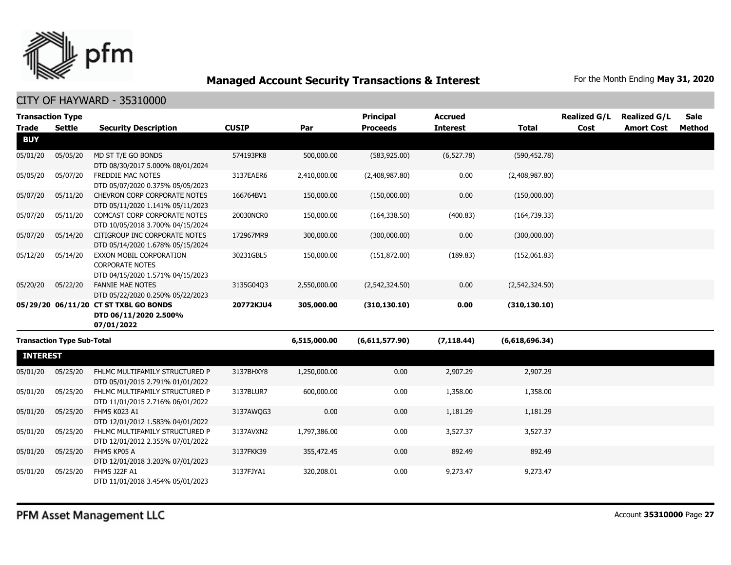

| <b>Transaction Type</b> |                                   |                                                                                       |              |              | <b>Principal</b> | <b>Accrued</b>  |                | <b>Realized G/L</b> | <b>Realized G/L</b> | <b>Sale</b> |
|-------------------------|-----------------------------------|---------------------------------------------------------------------------------------|--------------|--------------|------------------|-----------------|----------------|---------------------|---------------------|-------------|
| <b>Trade</b>            | <b>Settle</b>                     | <b>Security Description</b>                                                           | <b>CUSIP</b> | Par          | <b>Proceeds</b>  | <b>Interest</b> | <b>Total</b>   | Cost                | <b>Amort Cost</b>   | Method      |
| <b>BUY</b>              |                                   |                                                                                       |              |              |                  |                 |                |                     |                     |             |
| 05/01/20                | 05/05/20                          | MD ST T/E GO BONDS<br>DTD 08/30/2017 5.000% 08/01/2024                                | 574193PK8    | 500,000.00   | (583, 925.00)    | (6, 527.78)     | (590, 452.78)  |                     |                     |             |
| 05/05/20                | 05/07/20                          | FREDDIE MAC NOTES<br>DTD 05/07/2020 0.375% 05/05/2023                                 | 3137EAER6    | 2,410,000.00 | (2,408,987.80)   | 0.00            | (2,408,987.80) |                     |                     |             |
| 05/07/20                | 05/11/20                          | CHEVRON CORP CORPORATE NOTES<br>DTD 05/11/2020 1.141% 05/11/2023                      | 166764BV1    | 150,000.00   | (150,000.00)     | 0.00            | (150,000.00)   |                     |                     |             |
| 05/07/20                | 05/11/20                          | COMCAST CORP CORPORATE NOTES<br>DTD 10/05/2018 3.700% 04/15/2024                      | 20030NCR0    | 150,000.00   | (164, 338.50)    | (400.83)        | (164, 739.33)  |                     |                     |             |
| 05/07/20                | 05/14/20                          | CITIGROUP INC CORPORATE NOTES<br>DTD 05/14/2020 1.678% 05/15/2024                     | 172967MR9    | 300,000.00   | (300,000.00)     | 0.00            | (300,000.00)   |                     |                     |             |
| 05/12/20                | 05/14/20                          | EXXON MOBIL CORPORATION<br><b>CORPORATE NOTES</b><br>DTD 04/15/2020 1.571% 04/15/2023 | 30231GBL5    | 150,000.00   | (151, 872.00)    | (189.83)        | (152,061.83)   |                     |                     |             |
| 05/20/20                | 05/22/20                          | <b>FANNIE MAE NOTES</b><br>DTD 05/22/2020 0.250% 05/22/2023                           | 3135G04Q3    | 2,550,000.00 | (2,542,324.50)   | 0.00            | (2,542,324.50) |                     |                     |             |
|                         |                                   | 05/29/20 06/11/20 CT ST TXBL GO BONDS<br>DTD 06/11/2020 2.500%<br>07/01/2022          | 20772KJU4    | 305,000.00   | (310, 130.10)    | 0.00            | (310, 130.10)  |                     |                     |             |
|                         | <b>Transaction Type Sub-Total</b> |                                                                                       |              | 6,515,000.00 | (6,611,577.90)   | (7, 118.44)     | (6,618,696.34) |                     |                     |             |
| <b>INTEREST</b>         |                                   |                                                                                       |              |              |                  |                 |                |                     |                     |             |
| 05/01/20                | 05/25/20                          | FHLMC MULTIFAMILY STRUCTURED P<br>DTD 05/01/2015 2.791% 01/01/2022                    | 3137BHXY8    | 1,250,000.00 | 0.00             | 2,907.29        | 2,907.29       |                     |                     |             |
| 05/01/20                | 05/25/20                          | FHLMC MULTIFAMILY STRUCTURED P<br>DTD 11/01/2015 2.716% 06/01/2022                    | 3137BLUR7    | 600,000.00   | 0.00             | 1,358.00        | 1,358.00       |                     |                     |             |
| 05/01/20                | 05/25/20                          | FHMS K023 A1<br>DTD 12/01/2012 1.583% 04/01/2022                                      | 3137AWQG3    | 0.00         | 0.00             | 1,181.29        | 1,181.29       |                     |                     |             |
| 05/01/20                | 05/25/20                          | FHLMC MULTIFAMILY STRUCTURED P<br>DTD 12/01/2012 2.355% 07/01/2022                    | 3137AVXN2    | 1,797,386.00 | 0.00             | 3,527.37        | 3,527.37       |                     |                     |             |
| 05/01/20                | 05/25/20                          | FHMS KP05 A<br>DTD 12/01/2018 3.203% 07/01/2023                                       | 3137FKK39    | 355,472.45   | 0.00             | 892.49          | 892.49         |                     |                     |             |
| 05/01/20                | 05/25/20                          | <b>FHMS J22F A1</b><br>DTD 11/01/2018 3.454% 05/01/2023                               | 3137FJYA1    | 320,208.01   | 0.00             | 9,273.47        | 9,273.47       |                     |                     |             |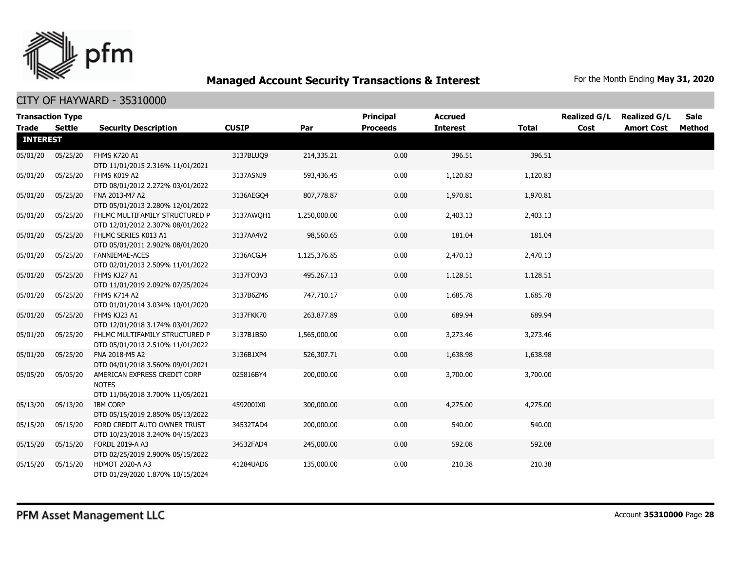

| <b>Transaction Type</b> |               |                                                                                  |              |              | <b>Principal</b> | <b>Accrued</b>  |              | <b>Realized G/L</b> | <b>Realized G/L</b> | Sale   |
|-------------------------|---------------|----------------------------------------------------------------------------------|--------------|--------------|------------------|-----------------|--------------|---------------------|---------------------|--------|
| <b>Trade</b>            | <b>Settle</b> | <b>Security Description</b>                                                      | <b>CUSIP</b> | Par          | <b>Proceeds</b>  | <b>Interest</b> | <b>Total</b> | Cost                | <b>Amort Cost</b>   | Method |
| <b>INTEREST</b>         |               |                                                                                  |              |              |                  |                 |              |                     |                     |        |
| 05/01/20                | 05/25/20      | <b>FHMS K720 A1</b><br>DTD 11/01/2015 2.316% 11/01/2021                          | 3137BLUQ9    | 214,335.21   | 0.00             | 396.51          | 396.51       |                     |                     |        |
| 05/01/20                | 05/25/20      | FHMS K019 A2<br>DTD 08/01/2012 2.272% 03/01/2022                                 | 3137ASNJ9    | 593,436.45   | 0.00             | 1,120.83        | 1,120.83     |                     |                     |        |
| 05/01/20                | 05/25/20      | FNA 2013-M7 A2<br>DTD 05/01/2013 2.280% 12/01/2022                               | 3136AEGO4    | 807,778.87   | 0.00             | 1,970.81        | 1,970.81     |                     |                     |        |
| 05/01/20                | 05/25/20      | FHLMC MULTIFAMILY STRUCTURED P<br>DTD 12/01/2012 2.307% 08/01/2022               | 3137AWQH1    | 1,250,000.00 | 0.00             | 2,403.13        | 2,403.13     |                     |                     |        |
| 05/01/20                | 05/25/20      | FHLMC SERIES K013 A1<br>DTD 05/01/2011 2.902% 08/01/2020                         | 3137AA4V2    | 98,560.65    | 0.00             | 181.04          | 181.04       |                     |                     |        |
| 05/01/20                | 05/25/20      | <b>FANNIEMAE-ACES</b><br>DTD 02/01/2013 2.509% 11/01/2022                        | 3136ACGJ4    | 1,125,376.85 | 0.00             | 2,470.13        | 2,470.13     |                     |                     |        |
| 05/01/20                | 05/25/20      | FHMS KJ27 A1<br>DTD 11/01/2019 2.092% 07/25/2024                                 | 3137FQ3V3    | 495,267.13   | 0.00             | 1,128.51        | 1,128.51     |                     |                     |        |
| 05/01/20                | 05/25/20      | FHMS K714 A2<br>DTD 01/01/2014 3.034% 10/01/2020                                 | 3137B6ZM6    | 747,710.17   | 0.00             | 1,685.78        | 1,685.78     |                     |                     |        |
| 05/01/20                | 05/25/20      | FHMS KJ23 A1<br>DTD 12/01/2018 3.174% 03/01/2022                                 | 3137FKK70    | 263,877.89   | 0.00             | 689.94          | 689.94       |                     |                     |        |
| 05/01/20                | 05/25/20      | FHLMC MULTIFAMILY STRUCTURED P<br>DTD 05/01/2013 2.510% 11/01/2022               | 3137B1BS0    | 1,565,000.00 | 0.00             | 3,273.46        | 3,273.46     |                     |                     |        |
| 05/01/20                | 05/25/20      | FNA 2018-M5 A2<br>DTD 04/01/2018 3.560% 09/01/2021                               | 3136B1XP4    | 526,307.71   | 0.00             | 1,638.98        | 1,638.98     |                     |                     |        |
| 05/05/20                | 05/05/20      | AMERICAN EXPRESS CREDIT CORP<br><b>NOTES</b><br>DTD 11/06/2018 3.700% 11/05/2021 | 025816BY4    | 200,000.00   | 0.00             | 3,700.00        | 3,700.00     |                     |                     |        |
| 05/13/20                | 05/13/20      | <b>IBM CORP</b><br>DTD 05/15/2019 2.850% 05/13/2022                              | 459200JX0    | 300,000.00   | 0.00             | 4,275.00        | 4,275.00     |                     |                     |        |
| 05/15/20                | 05/15/20      | FORD CREDIT AUTO OWNER TRUST<br>DTD 10/23/2018 3.240% 04/15/2023                 | 34532TAD4    | 200,000.00   | 0.00             | 540.00          | 540.00       |                     |                     |        |
| 05/15/20                | 05/15/20      | <b>FORDL 2019-A A3</b><br>DTD 02/25/2019 2.900% 05/15/2022                       | 34532FAD4    | 245,000.00   | 0.00             | 592.08          | 592.08       |                     |                     |        |
| 05/15/20                | 05/15/20      | HDMOT 2020-A A3<br>DTD 01/29/2020 1.870% 10/15/2024                              | 41284UAD6    | 135,000.00   | 0.00             | 210.38          | 210.38       |                     |                     |        |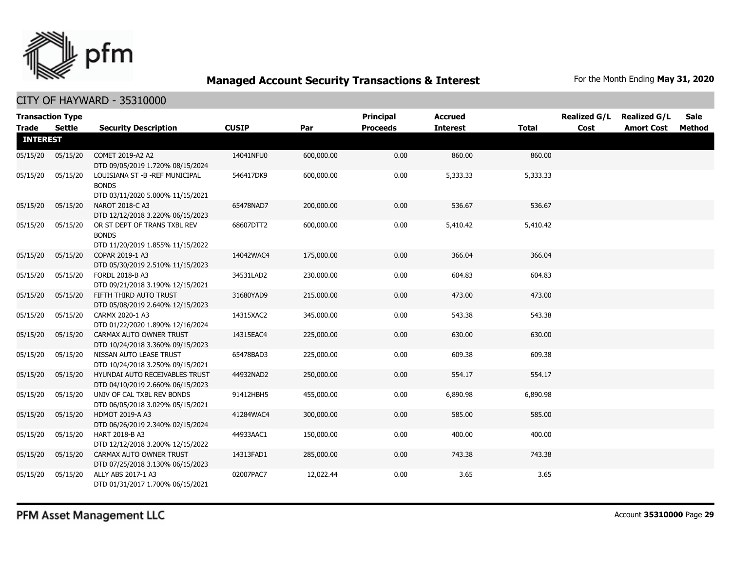

| <b>Transaction Type</b> |          |                                                                                      |              |            | <b>Principal</b> | <b>Accrued</b>  |              | <b>Realized G/L</b> | <b>Realized G/L</b> | <b>Sale</b> |
|-------------------------|----------|--------------------------------------------------------------------------------------|--------------|------------|------------------|-----------------|--------------|---------------------|---------------------|-------------|
| <b>Trade</b>            | Settle   | <b>Security Description</b>                                                          | <b>CUSIP</b> | Par        | <b>Proceeds</b>  | <b>Interest</b> | <b>Total</b> | Cost                | <b>Amort Cost</b>   | Method      |
| <b>INTEREST</b>         |          |                                                                                      |              |            |                  |                 |              |                     |                     |             |
| 05/15/20                | 05/15/20 | COMET 2019-A2 A2<br>DTD 09/05/2019 1.720% 08/15/2024                                 | 14041NFU0    | 600,000.00 | 0.00             | 860.00          | 860.00       |                     |                     |             |
| 05/15/20                | 05/15/20 | LOUISIANA ST - B - REF MUNICIPAL<br><b>BONDS</b><br>DTD 03/11/2020 5.000% 11/15/2021 | 546417DK9    | 600,000.00 | 0.00             | 5,333.33        | 5,333.33     |                     |                     |             |
| 05/15/20                | 05/15/20 | NAROT 2018-C A3<br>DTD 12/12/2018 3.220% 06/15/2023                                  | 65478NAD7    | 200,000.00 | 0.00             | 536.67          | 536.67       |                     |                     |             |
| 05/15/20                | 05/15/20 | OR ST DEPT OF TRANS TXBL REV<br><b>BONDS</b><br>DTD 11/20/2019 1.855% 11/15/2022     | 68607DTT2    | 600,000.00 | 0.00             | 5,410.42        | 5,410.42     |                     |                     |             |
| 05/15/20                | 05/15/20 | COPAR 2019-1 A3<br>DTD 05/30/2019 2.510% 11/15/2023                                  | 14042WAC4    | 175,000.00 | 0.00             | 366.04          | 366.04       |                     |                     |             |
| 05/15/20                | 05/15/20 | FORDL 2018-B A3<br>DTD 09/21/2018 3.190% 12/15/2021                                  | 34531LAD2    | 230,000.00 | 0.00             | 604.83          | 604.83       |                     |                     |             |
| 05/15/20                | 05/15/20 | FIFTH THIRD AUTO TRUST<br>DTD 05/08/2019 2.640% 12/15/2023                           | 31680YAD9    | 215,000.00 | 0.00             | 473.00          | 473.00       |                     |                     |             |
| 05/15/20                | 05/15/20 | CARMX 2020-1 A3<br>DTD 01/22/2020 1.890% 12/16/2024                                  | 14315XAC2    | 345,000.00 | 0.00             | 543.38          | 543.38       |                     |                     |             |
| 05/15/20                | 05/15/20 | CARMAX AUTO OWNER TRUST<br>DTD 10/24/2018 3.360% 09/15/2023                          | 14315EAC4    | 225,000.00 | 0.00             | 630.00          | 630.00       |                     |                     |             |
| 05/15/20                | 05/15/20 | NISSAN AUTO LEASE TRUST<br>DTD 10/24/2018 3.250% 09/15/2021                          | 65478BAD3    | 225,000.00 | 0.00             | 609.38          | 609.38       |                     |                     |             |
| 05/15/20                | 05/15/20 | HYUNDAI AUTO RECEIVABLES TRUST<br>DTD 04/10/2019 2.660% 06/15/2023                   | 44932NAD2    | 250,000.00 | 0.00             | 554.17          | 554.17       |                     |                     |             |
| 05/15/20                | 05/15/20 | UNIV OF CAL TXBL REV BONDS<br>DTD 06/05/2018 3.029% 05/15/2021                       | 91412HBH5    | 455,000.00 | 0.00             | 6,890.98        | 6,890.98     |                     |                     |             |
| 05/15/20                | 05/15/20 | <b>HDMOT 2019-A A3</b><br>DTD 06/26/2019 2.340% 02/15/2024                           | 41284WAC4    | 300,000.00 | 0.00             | 585.00          | 585.00       |                     |                     |             |
| 05/15/20                | 05/15/20 | HART 2018-B A3<br>DTD 12/12/2018 3.200% 12/15/2022                                   | 44933AAC1    | 150,000.00 | 0.00             | 400.00          | 400.00       |                     |                     |             |
| 05/15/20                | 05/15/20 | CARMAX AUTO OWNER TRUST<br>DTD 07/25/2018 3.130% 06/15/2023                          | 14313FAD1    | 285,000.00 | 0.00             | 743.38          | 743.38       |                     |                     |             |
| 05/15/20                | 05/15/20 | ALLY ABS 2017-1 A3<br>DTD 01/31/2017 1.700% 06/15/2021                               | 02007PAC7    | 12,022.44  | 0.00             | 3.65            | 3.65         |                     |                     |             |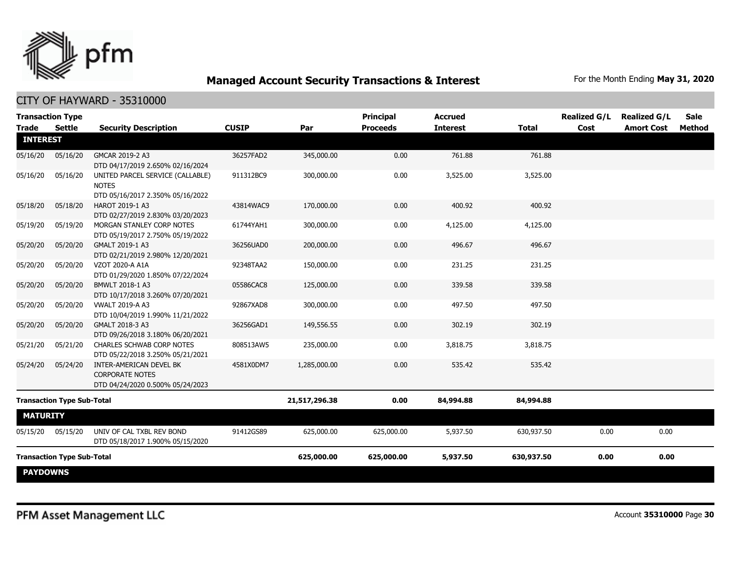

| <b>Trade</b>    | <b>Transaction Type</b><br><b>Settle</b> | <b>Security Description</b>                                                           | <b>CUSIP</b> | Par           | <b>Principal</b><br><b>Proceeds</b> | <b>Accrued</b><br><b>Interest</b> | <b>Total</b> | <b>Realized G/L</b><br>Cost | <b>Realized G/L</b><br><b>Amort Cost</b> | <b>Sale</b><br><b>Method</b> |
|-----------------|------------------------------------------|---------------------------------------------------------------------------------------|--------------|---------------|-------------------------------------|-----------------------------------|--------------|-----------------------------|------------------------------------------|------------------------------|
| <b>INTEREST</b> |                                          |                                                                                       |              |               |                                     |                                   |              |                             |                                          |                              |
| 05/16/20        | 05/16/20                                 | GMCAR 2019-2 A3<br>DTD 04/17/2019 2.650% 02/16/2024                                   | 36257FAD2    | 345,000.00    | 0.00                                | 761.88                            | 761.88       |                             |                                          |                              |
| 05/16/20        | 05/16/20                                 | UNITED PARCEL SERVICE (CALLABLE)<br><b>NOTES</b><br>DTD 05/16/2017 2.350% 05/16/2022  | 911312BC9    | 300,000.00    | 0.00                                | 3,525.00                          | 3,525.00     |                             |                                          |                              |
| 05/18/20        | 05/18/20                                 | HAROT 2019-1 A3<br>DTD 02/27/2019 2.830% 03/20/2023                                   | 43814WAC9    | 170,000.00    | 0.00                                | 400.92                            | 400.92       |                             |                                          |                              |
| 05/19/20        | 05/19/20                                 | MORGAN STANLEY CORP NOTES<br>DTD 05/19/2017 2.750% 05/19/2022                         | 61744YAH1    | 300,000.00    | 0.00                                | 4,125.00                          | 4,125.00     |                             |                                          |                              |
| 05/20/20        | 05/20/20                                 | GMALT 2019-1 A3<br>DTD 02/21/2019 2.980% 12/20/2021                                   | 36256UAD0    | 200,000.00    | 0.00                                | 496.67                            | 496.67       |                             |                                          |                              |
| 05/20/20        | 05/20/20                                 | VZOT 2020-A A1A<br>DTD 01/29/2020 1.850% 07/22/2024                                   | 92348TAA2    | 150,000.00    | 0.00                                | 231.25                            | 231.25       |                             |                                          |                              |
| 05/20/20        | 05/20/20                                 | BMWLT 2018-1 A3<br>DTD 10/17/2018 3.260% 07/20/2021                                   | 05586CAC8    | 125,000.00    | 0.00                                | 339.58                            | 339.58       |                             |                                          |                              |
| 05/20/20        | 05/20/20                                 | <b>VWALT 2019-A A3</b><br>DTD 10/04/2019 1.990% 11/21/2022                            | 92867XAD8    | 300,000.00    | 0.00                                | 497.50                            | 497.50       |                             |                                          |                              |
| 05/20/20        | 05/20/20                                 | GMALT 2018-3 A3<br>DTD 09/26/2018 3.180% 06/20/2021                                   | 36256GAD1    | 149,556.55    | 0.00                                | 302.19                            | 302.19       |                             |                                          |                              |
| 05/21/20        | 05/21/20                                 | CHARLES SCHWAB CORP NOTES<br>DTD 05/22/2018 3.250% 05/21/2021                         | 808513AW5    | 235,000.00    | 0.00                                | 3,818.75                          | 3,818.75     |                             |                                          |                              |
| 05/24/20        | 05/24/20                                 | INTER-AMERICAN DEVEL BK<br><b>CORPORATE NOTES</b><br>DTD 04/24/2020 0.500% 05/24/2023 | 4581X0DM7    | 1,285,000.00  | 0.00                                | 535.42                            | 535.42       |                             |                                          |                              |
|                 | <b>Transaction Type Sub-Total</b>        |                                                                                       |              | 21,517,296.38 | 0.00                                | 84,994.88                         | 84,994.88    |                             |                                          |                              |
| <b>MATURITY</b> |                                          |                                                                                       |              |               |                                     |                                   |              |                             |                                          |                              |
| 05/15/20        | 05/15/20                                 | UNIV OF CAL TXBL REV BOND<br>DTD 05/18/2017 1.900% 05/15/2020                         | 91412GS89    | 625,000.00    | 625,000.00                          | 5,937.50                          | 630,937.50   | 0.00                        | 0.00                                     |                              |
|                 | <b>Transaction Type Sub-Total</b>        |                                                                                       |              | 625,000.00    | 625,000.00                          | 5,937.50                          | 630,937.50   | 0.00                        | 0.00                                     |                              |
| <b>PAYDOWNS</b> |                                          |                                                                                       |              |               |                                     |                                   |              |                             |                                          |                              |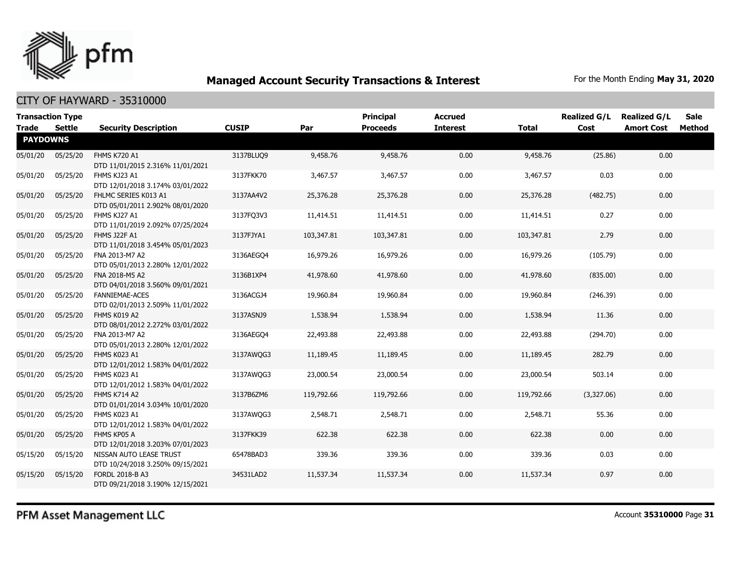

| <b>Transaction Type</b><br><b>Trade</b> | Settle   |                                                             | <b>CUSIP</b> | Par        | <b>Principal</b><br><b>Proceeds</b> | <b>Accrued</b><br><b>Interest</b> | <b>Total</b> | <b>Realized G/L</b><br>Cost | <b>Realized G/L</b> | Sale<br>Method |
|-----------------------------------------|----------|-------------------------------------------------------------|--------------|------------|-------------------------------------|-----------------------------------|--------------|-----------------------------|---------------------|----------------|
| <b>PAYDOWNS</b>                         |          | <b>Security Description</b>                                 |              |            |                                     |                                   |              |                             | <b>Amort Cost</b>   |                |
| 05/01/20                                | 05/25/20 | <b>FHMS K720 A1</b><br>DTD 11/01/2015 2.316% 11/01/2021     | 3137BLUQ9    | 9,458.76   | 9,458.76                            | 0.00                              | 9,458.76     | (25.86)                     | 0.00                |                |
| 05/01/20                                | 05/25/20 | FHMS KJ23 A1<br>DTD 12/01/2018 3.174% 03/01/2022            | 3137FKK70    | 3,467.57   | 3,467.57                            | 0.00                              | 3,467.57     | 0.03                        | 0.00                |                |
| 05/01/20                                | 05/25/20 | FHLMC SERIES K013 A1<br>DTD 05/01/2011 2.902% 08/01/2020    | 3137AA4V2    | 25,376.28  | 25,376.28                           | 0.00                              | 25,376.28    | (482.75)                    | 0.00                |                |
| 05/01/20                                | 05/25/20 | FHMS KJ27 A1<br>DTD 11/01/2019 2.092% 07/25/2024            | 3137FQ3V3    | 11,414.51  | 11,414.51                           | 0.00                              | 11,414.51    | 0.27                        | 0.00                |                |
| 05/01/20                                | 05/25/20 | FHMS J22F A1<br>DTD 11/01/2018 3.454% 05/01/2023            | 3137FJYA1    | 103,347.81 | 103,347.81                          | 0.00                              | 103,347.81   | 2.79                        | 0.00                |                |
| 05/01/20                                | 05/25/20 | FNA 2013-M7 A2<br>DTD 05/01/2013 2.280% 12/01/2022          | 3136AEGO4    | 16,979.26  | 16,979.26                           | 0.00                              | 16,979.26    | (105.79)                    | 0.00                |                |
| 05/01/20                                | 05/25/20 | FNA 2018-M5 A2<br>DTD 04/01/2018 3.560% 09/01/2021          | 3136B1XP4    | 41,978.60  | 41,978.60                           | 0.00                              | 41,978.60    | (835.00)                    | 0.00                |                |
| 05/01/20                                | 05/25/20 | <b>FANNIEMAE-ACES</b><br>DTD 02/01/2013 2.509% 11/01/2022   | 3136ACGJ4    | 19,960.84  | 19,960.84                           | 0.00                              | 19,960.84    | (246.39)                    | 0.00                |                |
| 05/01/20                                | 05/25/20 | FHMS K019 A2<br>DTD 08/01/2012 2.272% 03/01/2022            | 3137ASNJ9    | 1,538.94   | 1,538.94                            | 0.00                              | 1,538.94     | 11.36                       | 0.00                |                |
| 05/01/20                                | 05/25/20 | FNA 2013-M7 A2<br>DTD 05/01/2013 2.280% 12/01/2022          | 3136AEGO4    | 22,493.88  | 22,493.88                           | 0.00                              | 22,493.88    | (294.70)                    | 0.00                |                |
| 05/01/20                                | 05/25/20 | FHMS K023 A1<br>DTD 12/01/2012 1.583% 04/01/2022            | 3137AWQG3    | 11,189.45  | 11,189.45                           | 0.00                              | 11,189.45    | 282.79                      | 0.00                |                |
| 05/01/20                                | 05/25/20 | FHMS K023 A1<br>DTD 12/01/2012 1.583% 04/01/2022            | 3137AWQG3    | 23,000.54  | 23,000.54                           | 0.00                              | 23,000.54    | 503.14                      | 0.00                |                |
| 05/01/20                                | 05/25/20 | FHMS K714 A2<br>DTD 01/01/2014 3.034% 10/01/2020            | 3137B6ZM6    | 119,792.66 | 119,792.66                          | 0.00                              | 119,792.66   | (3,327.06)                  | 0.00                |                |
| 05/01/20                                | 05/25/20 | FHMS K023 A1<br>DTD 12/01/2012 1.583% 04/01/2022            | 3137AWQG3    | 2,548.71   | 2,548.71                            | 0.00                              | 2,548.71     | 55.36                       | 0.00                |                |
| 05/01/20                                | 05/25/20 | FHMS KP05 A<br>DTD 12/01/2018 3.203% 07/01/2023             | 3137FKK39    | 622.38     | 622.38                              | 0.00                              | 622.38       | 0.00                        | 0.00                |                |
| 05/15/20                                | 05/15/20 | NISSAN AUTO LEASE TRUST<br>DTD 10/24/2018 3.250% 09/15/2021 | 65478BAD3    | 339.36     | 339.36                              | 0.00                              | 339.36       | 0.03                        | 0.00                |                |
| 05/15/20                                | 05/15/20 | FORDL 2018-B A3<br>DTD 09/21/2018 3.190% 12/15/2021         | 34531LAD2    | 11,537.34  | 11,537.34                           | 0.00                              | 11,537.34    | 0.97                        | 0.00                |                |